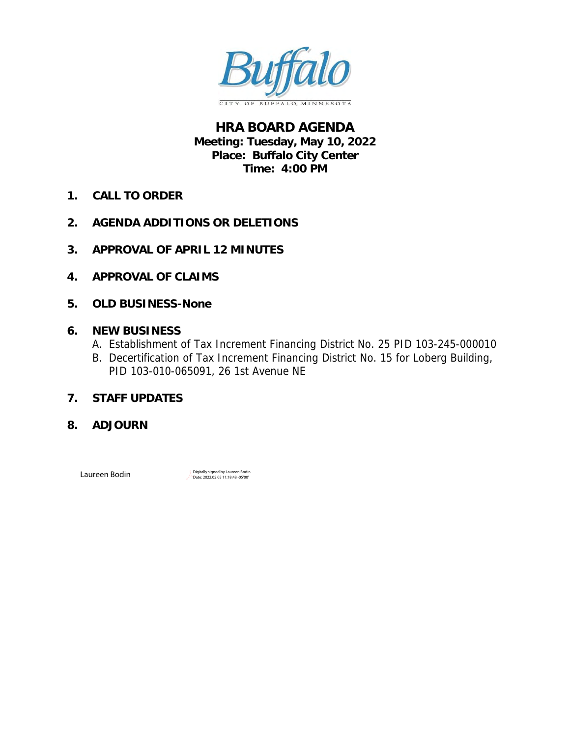

**HRA BOARD AGENDA Meeting: Tuesday, May 10, 2022 Place: Buffalo City Center Time: 4:00 PM**

- **1. CALL TO ORDER**
- **2. AGENDA ADDITIONS OR DELETIONS**
- **3. [APPROVAL OF APRIL 12](#page-1-0) MINUTES**
- **4. [APPROVAL OF CLAIMS](#page-4-0)**
- **5. OLD BUSINESS-None**
- **6. NEW BUSINESS**
	- A. [Establishment of Tax Increment Financing District No. 25](#page-6-0) PID 103-245-000010
	- B. [Decertification of Tax Increment Financing District No. 15 for Loberg Building,](#page-32-0)  PID 103-010-065091, 26 1st Avenue NE
- **7. STAFF UPDATES**
- **8. ADJOURN**

 $\textsf{Laureen}$  Bodin Digitally signed by Laureen Bodin Digitally signed by Laureen Bodin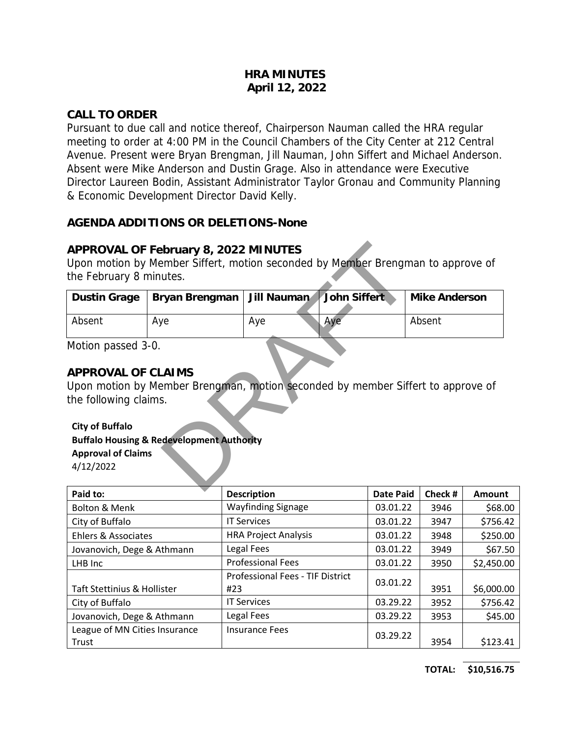#### **HRA MINUTES April 12, 2022**

#### <span id="page-1-0"></span>**CALL TO ORDER**

Pursuant to due call and notice thereof, Chairperson Nauman called the HRA regular meeting to order at 4:00 PM in the Council Chambers of the City Center at 212 Central Avenue. Present were Bryan Brengman, Jill Nauman, John Siffert and Michael Anderson. Absent were Mike Anderson and Dustin Grage. Also in attendance were Executive Director Laureen Bodin, Assistant Administrator Taylor Gronau and Community Planning & Economic Development Director David Kelly.

#### **AGENDA ADDITIONS OR DELETIONS-None**

#### **APPROVAL OF February 8, 2022 MINUTES**

| APPROVAL OF February 8, 2022 MINUTES<br>Upon motion by Member Siffert, motion seconded by Member Brengman to approve of<br>the February 8 minutes.                                                                                     |                |             |              |               |  |  |
|----------------------------------------------------------------------------------------------------------------------------------------------------------------------------------------------------------------------------------------|----------------|-------------|--------------|---------------|--|--|
| Dustin Grage                                                                                                                                                                                                                           | Bryan Brengman | Jill Nauman | John Siffert | Mike Anderson |  |  |
| Absent                                                                                                                                                                                                                                 | Aye            | Aye         | Aye          | Absent        |  |  |
| Motion passed 3-0.<br>APPROVAL OF CLAIMS<br>Upon motion by Member Brengman, motion seconded by member Siffert to approve of<br>the following claims.<br><b>City of Buffalo</b><br><b>Buffalo Housing &amp; Redevelopment Authority</b> |                |             |              |               |  |  |
| <b>Approval of Claims</b><br>4/12/2022<br>$\sim$ $\sim$                                                                                                                                                                                |                |             |              |               |  |  |

#### **APPROVAL OF CLAIMS**

#### **City of Buffalo**

#### **Buffalo Housing & Redevelopment Authority Approval of Claims**

| Paid to:                       | <b>Description</b>                      | <b>Date Paid</b> | Check # | Amount     |
|--------------------------------|-----------------------------------------|------------------|---------|------------|
| <b>Bolton &amp; Menk</b>       | <b>Wayfinding Signage</b>               | 03.01.22         | 3946    | \$68.00    |
| City of Buffalo                | <b>IT Services</b>                      | 03.01.22         | 3947    | \$756.42   |
| <b>Ehlers &amp; Associates</b> | <b>HRA Project Analysis</b>             | 03.01.22         | 3948    | \$250.00   |
| Jovanovich, Dege & Athmann     | Legal Fees                              | 03.01.22         | 3949    | \$67.50    |
| LHB Inc                        | <b>Professional Fees</b>                | 03.01.22         | 3950    | \$2,450.00 |
|                                | <b>Professional Fees - TIF District</b> | 03.01.22         |         |            |
| Taft Stettinius & Hollister    | #23                                     |                  | 3951    | \$6,000.00 |
| City of Buffalo                | <b>IT Services</b>                      | 03.29.22         | 3952    | \$756.42   |
| Jovanovich, Dege & Athmann     | Legal Fees                              | 03.29.22         | 3953    | \$45.00    |
| League of MN Cities Insurance  | <b>Insurance Fees</b>                   | 03.29.22         |         |            |
| Trust                          |                                         |                  | 3954    | \$123.41   |

**TOTAL: \$10,516.75**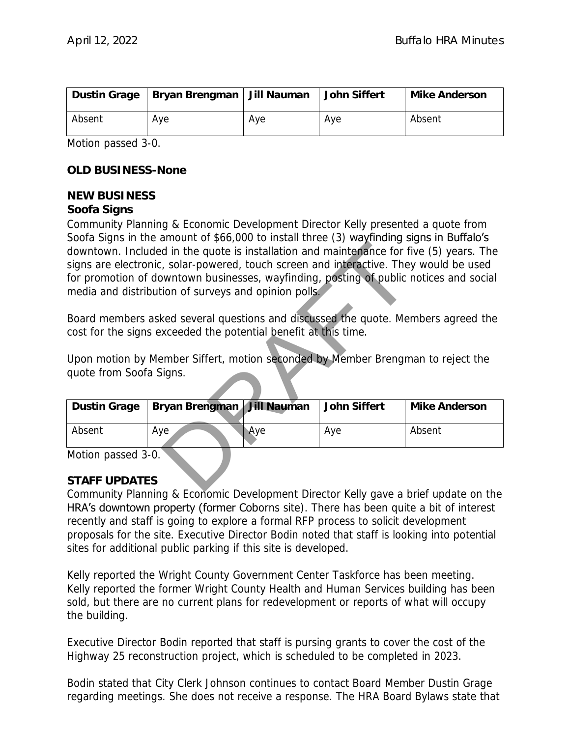|        | Dustin Grage   Bryan Brengman   Jill Nauman |     | John Siffert | Mike Anderson |
|--------|---------------------------------------------|-----|--------------|---------------|
| Absent | Ave                                         | Ave | Ave          | Absent        |

Motion passed 3-0.

**OLD BUSINESS-None**

#### **NEW BUSINESS**

**Soofa Signs**

Community Planning & Economic Development Director Kelly presented a quote from Soofa Signs in the amount of \$66,000 to install three (3) wayfinding signs in Buffalo's downtown. Included in the quote is installation and maintenance for five (5) years. The signs are electronic, solar-powered, touch screen and interactive. They would be used for promotion of downtown businesses, wayfinding, posting of public notices and social media and distribution of surveys and opinion polls. amount of 300,000 to install three (3) way intuiting started in the quote is installation and maintenance for fi<br>ed in the quote is installation and maintenance for fi<br>covertive to the coverage of the potential periodic re

Board members asked several questions and discussed the quote. Members agreed the cost for the signs exceeded the potential benefit at this time.

Upon motion by Member Siffert, motion seconded by Member Brengman to reject the quote from Soofa Signs.

| Dustin Grage | Bryan Brengman   Jill Nauman |     | John Siffert | Mike Anderson |
|--------------|------------------------------|-----|--------------|---------------|
| Absent       | Ave                          | Ave | Ave          | Absent        |

Motion passed 3-0.

#### **STAFF UPDATES**

Community Planning & Economic Development Director Kelly gave a brief update on the HRA's downtown property (former Coborns site). There has been quite a bit of interest recently and staff is going to explore a formal RFP process to solicit development proposals for the site. Executive Director Bodin noted that staff is looking into potential sites for additional public parking if this site is developed.

Kelly reported the Wright County Government Center Taskforce has been meeting. Kelly reported the former Wright County Health and Human Services building has been sold, but there are no current plans for redevelopment or reports of what will occupy the building.

Executive Director Bodin reported that staff is pursing grants to cover the cost of the Highway 25 reconstruction project, which is scheduled to be completed in 2023.

Bodin stated that City Clerk Johnson continues to contact Board Member Dustin Grage regarding meetings. She does not receive a response. The HRA Board Bylaws state that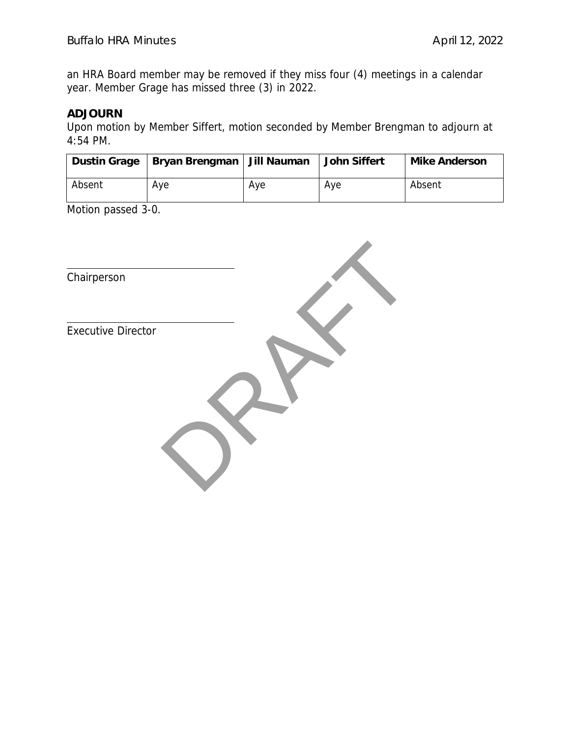an HRA Board member may be removed if they miss four (4) meetings in a calendar year. Member Grage has missed three (3) in 2022.

#### **ADJOURN**

Upon motion by Member Siffert, motion seconded by Member Brengman to adjourn at 4:54 PM.

|        | Dustin Grage   Bryan Brengman   Jill Nauman |     | John Siffert | Mike Anderson |
|--------|---------------------------------------------|-----|--------------|---------------|
| Absent | Ave                                         | Ave | Aye          | Absent        |

Motion passed 3-0.

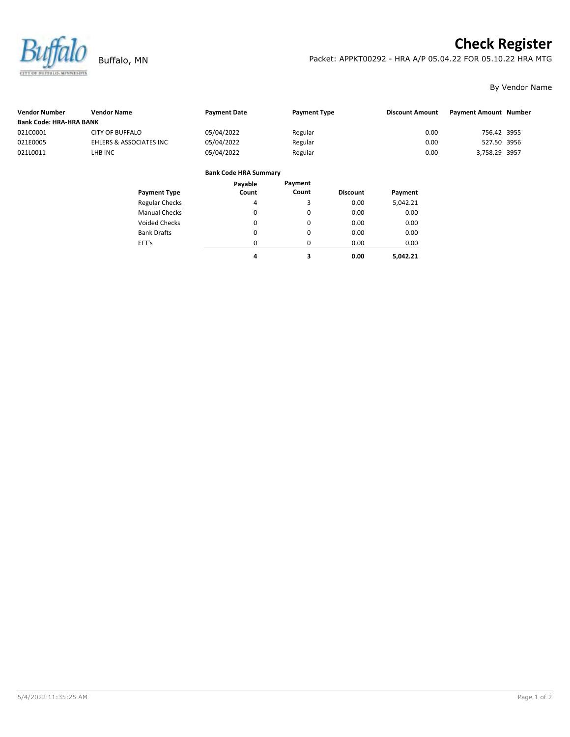<span id="page-4-0"></span>

Voided Checks

Bank Drafts EFT's

# **Check Register**

Buffalo, MN Packet: APPKT00292 - HRA A/P 05.04.22 FOR 05.10.22 HRA MTG

0.00 0.00 0.00 **5,042.21** By Vendor Name

| <b>Vendor Number</b>           | <b>Vendor Name</b>      | <b>Payment Date</b>          | <b>Payment Type</b> |                 | <b>Discount Amount</b> | <b>Payment Amount Number</b> |  |
|--------------------------------|-------------------------|------------------------------|---------------------|-----------------|------------------------|------------------------------|--|
| <b>Bank Code: HRA-HRA BANK</b> |                         |                              |                     |                 |                        |                              |  |
| 021C0001                       | <b>CITY OF BUFFALO</b>  | 05/04/2022                   | Regular             |                 | 0.00                   | 756.42 3955                  |  |
| 021E0005                       | EHLERS & ASSOCIATES INC | 05/04/2022                   | Regular             |                 | 0.00                   | 527.50 3956                  |  |
| 021L0011                       | LHB INC                 | 05/04/2022                   | Regular             |                 | 0.00                   | 3,758.29 3957                |  |
|                                |                         | <b>Bank Code HRA Summary</b> |                     |                 |                        |                              |  |
|                                |                         | Payable                      | Payment             |                 |                        |                              |  |
|                                | <b>Payment Type</b>     | Count                        | Count               | <b>Discount</b> | Payment                |                              |  |
|                                | <b>Regular Checks</b>   | 4                            | 3                   | 0.00            | 5.042.21               |                              |  |
|                                | <b>Manual Checks</b>    | 0                            | 0                   | 0.00            | 0.00                   |                              |  |

 $\pmb{0}$ 0 0 0.00 0.00 0.00

**3 0.00**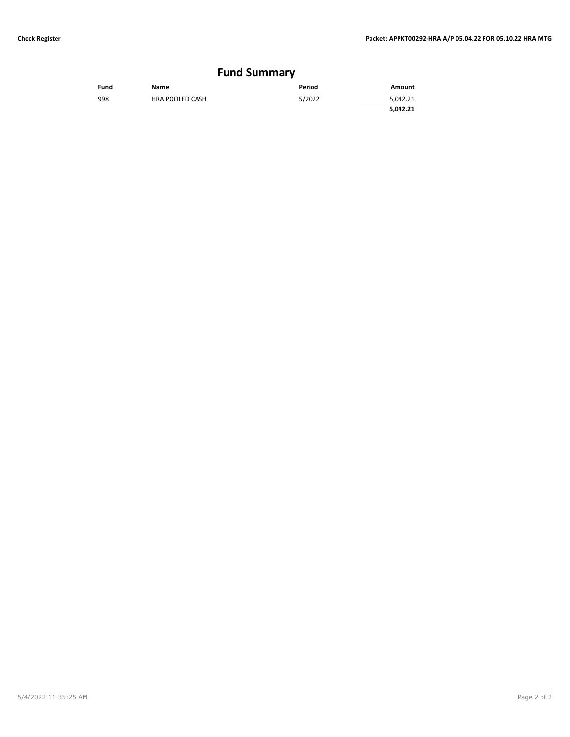#### **Fund Summary**

| Fund | <b>Name</b>            | Period | Amount   |
|------|------------------------|--------|----------|
| 998  | <b>HRA POOLED CASH</b> | 5/2022 | 5,042.21 |
|      |                        |        | 5,042.21 |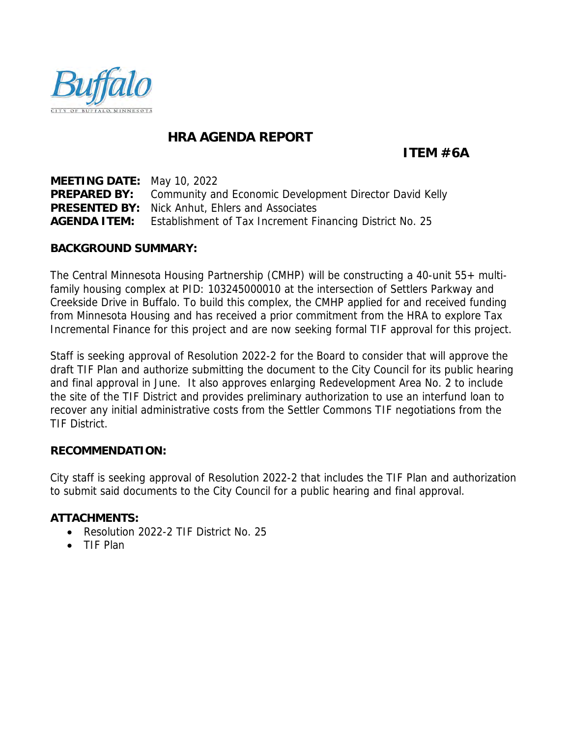<span id="page-6-0"></span>

### **HRA AGENDA REPORT**

**ITEM #6A**

**MEETING DATE:** May 10, 2022 **PREPARED BY:** Community and Economic Development Director David Kelly **PRESENTED BY:** Nick Anhut, Ehlers and Associates **AGENDA ITEM:** Establishment of Tax Increment Financing District No. 25

**BACKGROUND SUMMARY:**

The Central Minnesota Housing Partnership (CMHP) will be constructing a 40-unit 55+ multifamily housing complex at PID: 103245000010 at the intersection of Settlers Parkway and Creekside Drive in Buffalo. To build this complex, the CMHP applied for and received funding from Minnesota Housing and has received a prior commitment from the HRA to explore Tax Incremental Finance for this project and are now seeking formal TIF approval for this project.

Staff is seeking approval of Resolution 2022-2 for the Board to consider that will approve the draft TIF Plan and authorize submitting the document to the City Council for its public hearing and final approval in June. It also approves enlarging Redevelopment Area No. 2 to include the site of the TIF District and provides preliminary authorization to use an interfund loan to recover any initial administrative costs from the Settler Commons TIF negotiations from the TIF District.

#### **RECOMMENDATION:**

City staff is seeking approval of Resolution 2022-2 that includes the TIF Plan and authorization to submit said documents to the City Council for a public hearing and final approval.

**ATTACHMENTS:**

- Resolution 2022-2 TIF District No. 25
- TIF Plan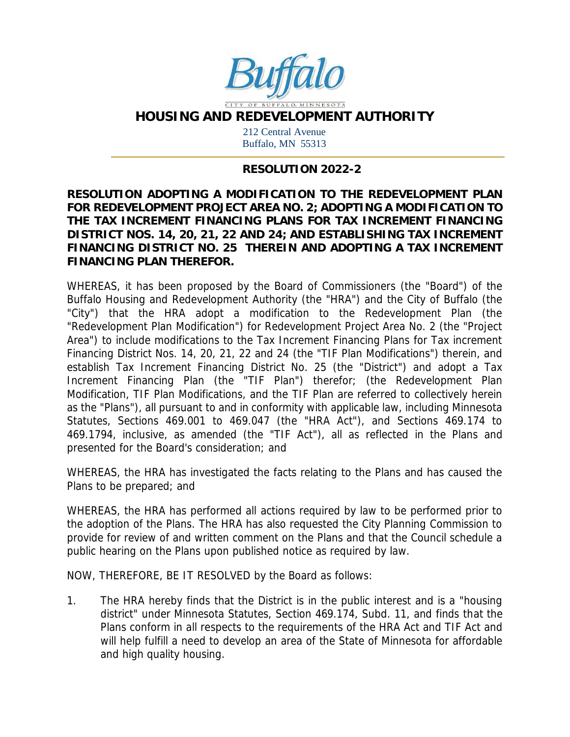

**HOUSING AND REDEVELOPMENT AUTHORITY**

212 Central Avenue Buffalo, MN 55313

#### **RESOLUTION 2022-2**

**RESOLUTION ADOPTING A MODIFICATION TO THE REDEVELOPMENT PLAN FOR REDEVELOPMENT PROJECT AREA NO. 2; ADOPTING A MODIFICATION TO THE TAX INCREMENT FINANCING PLANS FOR TAX INCREMENT FINANCING DISTRICT NOS. 14, 20, 21, 22 AND 24; AND ESTABLISHING TAX INCREMENT FINANCING DISTRICT NO. 25 THEREIN AND ADOPTING A TAX INCREMENT FINANCING PLAN THEREFOR.**

WHEREAS, it has been proposed by the Board of Commissioners (the "Board") of the Buffalo Housing and Redevelopment Authority (the "HRA") and the City of Buffalo (the "City") that the HRA adopt a modification to the Redevelopment Plan (the "Redevelopment Plan Modification") for Redevelopment Project Area No. 2 (the "Project Area") to include modifications to the Tax Increment Financing Plans for Tax increment Financing District Nos. 14, 20, 21, 22 and 24 (the "TIF Plan Modifications") therein, and establish Tax Increment Financing District No. 25 (the "District") and adopt a Tax Increment Financing Plan (the "TIF Plan") therefor; (the Redevelopment Plan Modification, TIF Plan Modifications, and the TIF Plan are referred to collectively herein as the "Plans"), all pursuant to and in conformity with applicable law, including Minnesota Statutes, Sections 469.001 to 469.047 (the "HRA Act"), and Sections 469.174 to 469.1794, inclusive, as amended (the "TIF Act"), all as reflected in the Plans and presented for the Board's consideration; and

WHEREAS, the HRA has investigated the facts relating to the Plans and has caused the Plans to be prepared; and

WHEREAS, the HRA has performed all actions required by law to be performed prior to the adoption of the Plans. The HRA has also requested the City Planning Commission to provide for review of and written comment on the Plans and that the Council schedule a public hearing on the Plans upon published notice as required by law.

NOW, THEREFORE, BE IT RESOLVED by the Board as follows:

1. The HRA hereby finds that the District is in the public interest and is a "housing district" under Minnesota Statutes, Section 469.174, Subd. 11, and finds that the Plans conform in all respects to the requirements of the HRA Act and TIF Act and will help fulfill a need to develop an area of the State of Minnesota for affordable and high quality housing.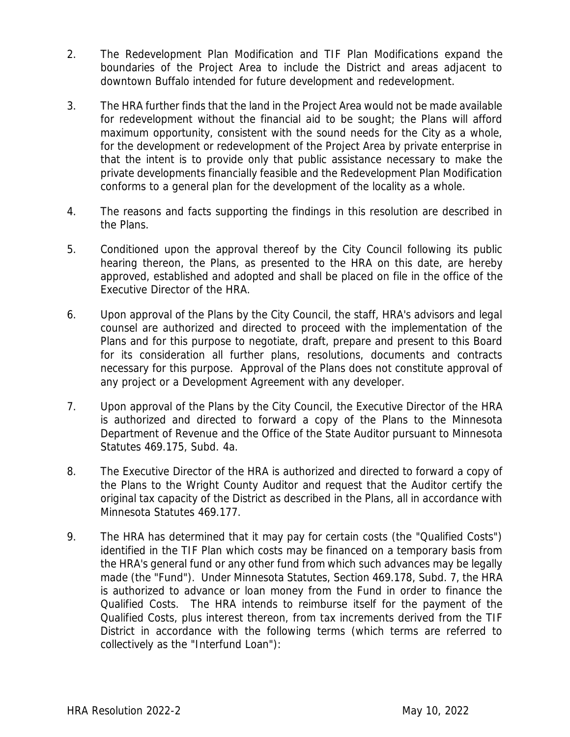- 2. The Redevelopment Plan Modification and TIF Plan Modifications expand the boundaries of the Project Area to include the District and areas adjacent to downtown Buffalo intended for future development and redevelopment.
- 3. The HRA further finds that the land in the Project Area would not be made available for redevelopment without the financial aid to be sought; the Plans will afford maximum opportunity, consistent with the sound needs for the City as a whole, for the development or redevelopment of the Project Area by private enterprise in that the intent is to provide only that public assistance necessary to make the private developments financially feasible and the Redevelopment Plan Modification conforms to a general plan for the development of the locality as a whole.
- 4. The reasons and facts supporting the findings in this resolution are described in the Plans.
- 5. Conditioned upon the approval thereof by the City Council following its public hearing thereon, the Plans, as presented to the HRA on this date, are hereby approved, established and adopted and shall be placed on file in the office of the Executive Director of the HRA.
- 6. Upon approval of the Plans by the City Council, the staff, HRA's advisors and legal counsel are authorized and directed to proceed with the implementation of the Plans and for this purpose to negotiate, draft, prepare and present to this Board for its consideration all further plans, resolutions, documents and contracts necessary for this purpose. Approval of the Plans does not constitute approval of any project or a Development Agreement with any developer.
- 7. Upon approval of the Plans by the City Council, the Executive Director of the HRA is authorized and directed to forward a copy of the Plans to the Minnesota Department of Revenue and the Office of the State Auditor pursuant to Minnesota Statutes 469.175, Subd. 4a.
- 8. The Executive Director of the HRA is authorized and directed to forward a copy of the Plans to the Wright County Auditor and request that the Auditor certify the original tax capacity of the District as described in the Plans, all in accordance with Minnesota Statutes 469.177.
- 9. The HRA has determined that it may pay for certain costs (the "Qualified Costs") identified in the TIF Plan which costs may be financed on a temporary basis from the HRA's general fund or any other fund from which such advances may be legally made (the "Fund"). Under Minnesota Statutes, Section 469.178, Subd. 7, the HRA is authorized to advance or loan money from the Fund in order to finance the Qualified Costs. The HRA intends to reimburse itself for the payment of the Qualified Costs, plus interest thereon, from tax increments derived from the TIF District in accordance with the following terms (which terms are referred to collectively as the "Interfund Loan"):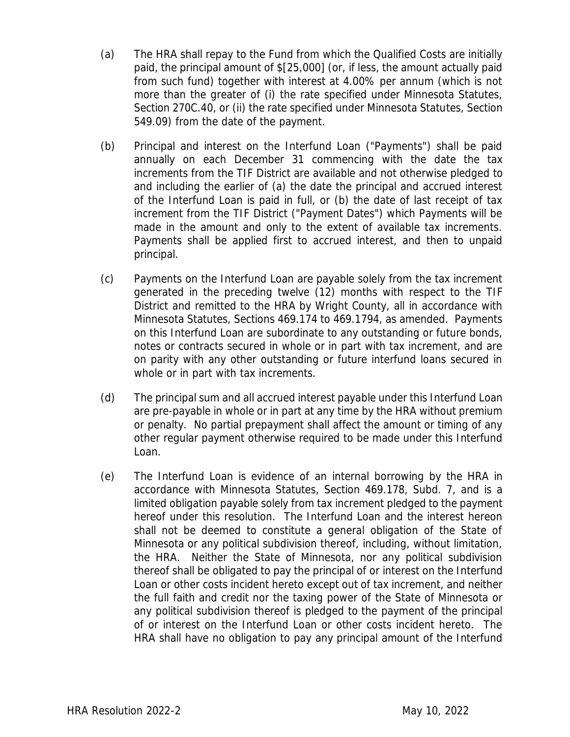- (a) The HRA shall repay to the Fund from which the Qualified Costs are initially paid, the principal amount of \$[25,000] (or, if less, the amount actually paid from such fund) together with interest at 4.00% per annum (which is not more than the greater of (i) the rate specified under Minnesota Statutes, Section 270C.40, or (ii) the rate specified under Minnesota Statutes, Section 549.09) from the date of the payment.
- (b) Principal and interest on the Interfund Loan ("Payments") shall be paid annually on each December 31 commencing with the date the tax increments from the TIF District are available and not otherwise pledged to and including the earlier of (a) the date the principal and accrued interest of the Interfund Loan is paid in full, or (b) the date of last receipt of tax increment from the TIF District ("Payment Dates") which Payments will be made in the amount and only to the extent of available tax increments. Payments shall be applied first to accrued interest, and then to unpaid principal.
- (c) Payments on the Interfund Loan are payable solely from the tax increment generated in the preceding twelve (12) months with respect to the TIF District and remitted to the HRA by Wright County, all in accordance with Minnesota Statutes, Sections 469.174 to 469.1794, as amended. Payments on this Interfund Loan are subordinate to any outstanding or future bonds, notes or contracts secured in whole or in part with tax increment, and are on parity with any other outstanding or future interfund loans secured in whole or in part with tax increments.
- (d) The principal sum and all accrued interest payable under this Interfund Loan are pre-payable in whole or in part at any time by the HRA without premium or penalty. No partial prepayment shall affect the amount or timing of any other regular payment otherwise required to be made under this Interfund Loan.
- (e) The Interfund Loan is evidence of an internal borrowing by the HRA in accordance with Minnesota Statutes, Section 469.178, Subd. 7, and is a limited obligation payable solely from tax increment pledged to the payment hereof under this resolution. The Interfund Loan and the interest hereon shall not be deemed to constitute a general obligation of the State of Minnesota or any political subdivision thereof, including, without limitation, the HRA. Neither the State of Minnesota, nor any political subdivision thereof shall be obligated to pay the principal of or interest on the Interfund Loan or other costs incident hereto except out of tax increment, and neither the full faith and credit nor the taxing power of the State of Minnesota or any political subdivision thereof is pledged to the payment of the principal of or interest on the Interfund Loan or other costs incident hereto. The HRA shall have no obligation to pay any principal amount of the Interfund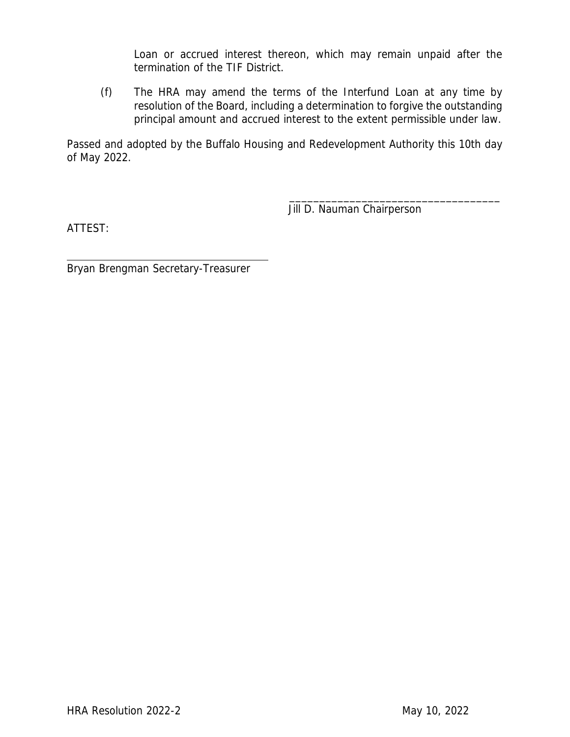Loan or accrued interest thereon, which may remain unpaid after the termination of the TIF District.

(f) The HRA may amend the terms of the Interfund Loan at any time by resolution of the Board, including a determination to forgive the outstanding principal amount and accrued interest to the extent permissible under law.

Passed and adopted by the Buffalo Housing and Redevelopment Authority this 10th day of May 2022.

Jill D. Nauman Chairperson

\_\_\_\_\_\_\_\_\_\_\_\_\_\_\_\_\_\_\_\_\_\_\_\_\_\_\_\_\_\_\_\_\_\_\_

ATTEST:

Bryan Brengman Secretary-Treasurer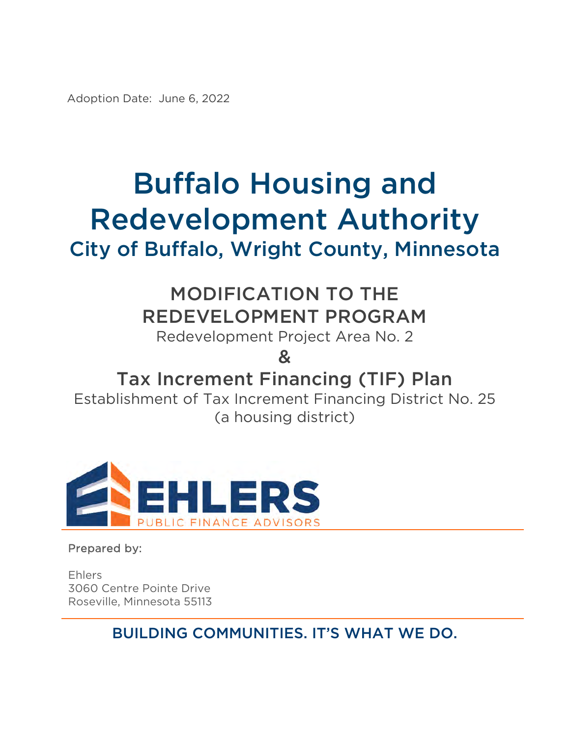Adoption Date: June 6, 2022

# Buffalo Housing and Redevelopment Authority City of Buffalo, Wright County, Minnesota

# MODIFICATION TO THE REDEVELOPMENT PROGRAM

Redevelopment Project Area No. 2

&

# Tax Increment Financing (TIF) Plan

Establishment of Tax Increment Financing District No. 25 (a housing district)



Prepared by:

Ehlers 3060 Centre Pointe Drive Roseville, Minnesota 55113

BUILDING COMMUNITIES. IT'S WHAT WE DO.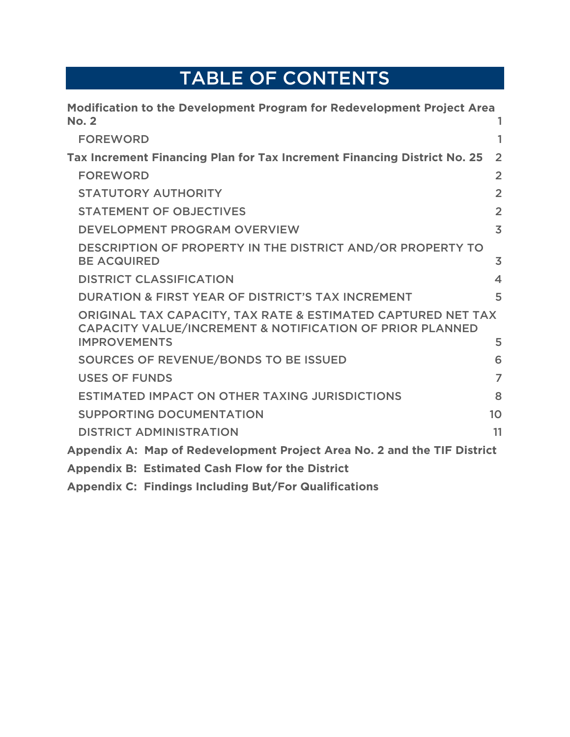# TABLE OF CONTENTS

| Modification to the Development Program for Redevelopment Project Area                                                              |                         |
|-------------------------------------------------------------------------------------------------------------------------------------|-------------------------|
| <b>No. 2</b>                                                                                                                        |                         |
| <b>FOREWORD</b>                                                                                                                     | 1                       |
| Tax Increment Financing Plan for Tax Increment Financing District No. 25                                                            | $\overline{2}$          |
| <b>FOREWORD</b>                                                                                                                     | $\overline{2}$          |
| <b>STATUTORY AUTHORITY</b>                                                                                                          | $\overline{2}$          |
| <b>STATEMENT OF OBJECTIVES</b>                                                                                                      | $\overline{2}$          |
| <b>DEVELOPMENT PROGRAM OVERVIEW</b>                                                                                                 | $\overline{3}$          |
| DESCRIPTION OF PROPERTY IN THE DISTRICT AND/OR PROPERTY TO<br><b>BE ACQUIRED</b>                                                    | $\overline{3}$          |
| <b>DISTRICT CLASSIFICATION</b>                                                                                                      | $\overline{\mathbf{A}}$ |
| <b>DURATION &amp; FIRST YEAR OF DISTRICT'S TAX INCREMENT</b>                                                                        | 5                       |
| ORIGINAL TAX CAPACITY, TAX RATE & ESTIMATED CAPTURED NET TAX<br><b>CAPACITY VALUE/INCREMENT &amp; NOTIFICATION OF PRIOR PLANNED</b> |                         |
| <b>IMPROVEMENTS</b>                                                                                                                 | 5                       |
| SOURCES OF REVENUE/BONDS TO BE ISSUED                                                                                               | 6                       |
| <b>USES OF FUNDS</b>                                                                                                                | $\overline{7}$          |
| <b>ESTIMATED IMPACT ON OTHER TAXING JURISDICTIONS</b>                                                                               | 8                       |
| <b>SUPPORTING DOCUMENTATION</b>                                                                                                     | 10                      |
| <b>DISTRICT ADMINISTRATION</b>                                                                                                      | 11                      |
| Appendix A: Map of Redevelopment Project Area No. 2 and the TIF District                                                            |                         |
| <b>Appendix B: Estimated Cash Flow for the District</b>                                                                             |                         |
| <b>Appendix C: Findings Including But/For Qualifications</b>                                                                        |                         |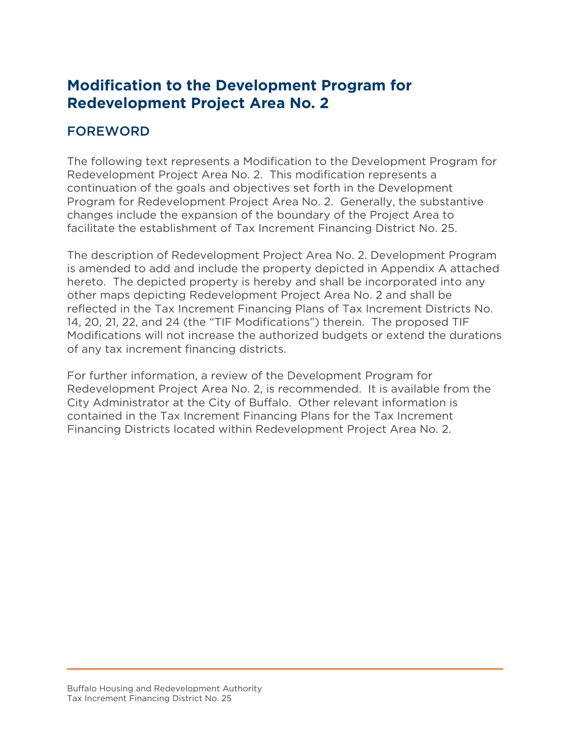# **Modification to the Development Program for Redevelopment Project Area No. 2**

#### FOREWORD

The following text represents a Modification to the Development Program for Redevelopment Project Area No. 2. This modification represents a continuation of the goals and objectives set forth in the Development Program for Redevelopment Project Area No. 2. Generally, the substantive changes include the expansion of the boundary of the Project Area to facilitate the establishment of Tax Increment Financing District No. 25.

The description of Redevelopment Project Area No. 2. Development Program is amended to add and include the property depicted in Appendix A attached hereto. The depicted property is hereby and shall be incorporated into any other maps depicting Redevelopment Project Area No. 2 and shall be reflected in the Tax Increment Financing Plans of Tax Increment Districts No. 14, 20, 21, 22, and 24 (the "TIF Modifications") therein. The proposed TIF Modifications will not increase the authorized budgets or extend the durations of any tax increment financing districts.

For further information, a review of the Development Program for Redevelopment Project Area No. 2, is recommended. It is available from the City Administrator at the City of Buffalo. Other relevant information is contained in the Tax Increment Financing Plans for the Tax Increment Financing Districts located within Redevelopment Project Area No. 2.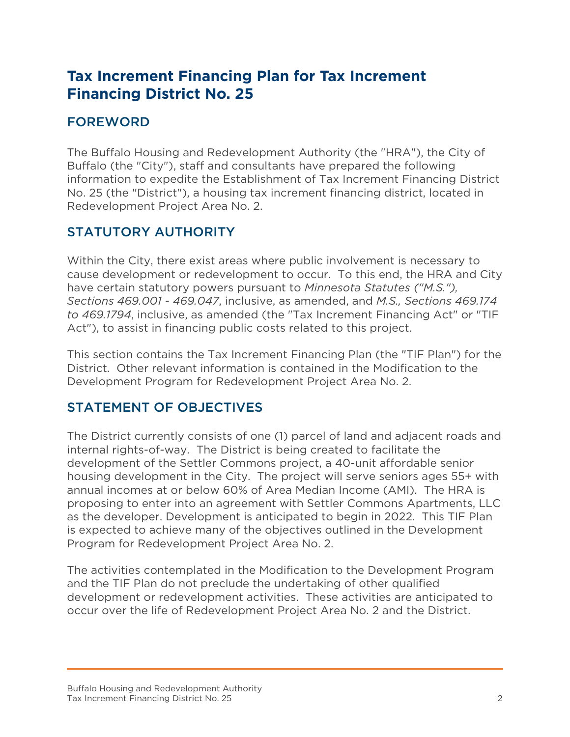# **Tax Increment Financing Plan for Tax Increment Financing District No. 25**

# FOREWORD

The Buffalo Housing and Redevelopment Authority (the "HRA"), the City of Buffalo (the "City"), staff and consultants have prepared the following information to expedite the Establishment of Tax Increment Financing District No. 25 (the "District"), a housing tax increment financing district, located in Redevelopment Project Area No. 2.

## STATUTORY AUTHORITY

Within the City, there exist areas where public involvement is necessary to cause development or redevelopment to occur. To this end, the HRA and City have certain statutory powers pursuant to *Minnesota Statutes ("M.S."), Sections 469.001 - 469.047*, inclusive, as amended, and *M.S., Sections 469.174 to 469.1794*, inclusive, as amended (the "Tax Increment Financing Act" or "TIF Act"), to assist in financing public costs related to this project.

This section contains the Tax Increment Financing Plan (the "TIF Plan") for the District. Other relevant information is contained in the Modification to the Development Program for Redevelopment Project Area No. 2.

## STATEMENT OF OBJECTIVES

The District currently consists of one (1) parcel of land and adjacent roads and internal rights-of-way. The District is being created to facilitate the development of the Settler Commons project, a 40-unit affordable senior housing development in the City. The project will serve seniors ages 55+ with annual incomes at or below 60% of Area Median Income (AMI). The HRA is proposing to enter into an agreement with Settler Commons Apartments, LLC as the developer. Development is anticipated to begin in 2022. This TIF Plan is expected to achieve many of the objectives outlined in the Development Program for Redevelopment Project Area No. 2.

The activities contemplated in the Modification to the Development Program and the TIF Plan do not preclude the undertaking of other qualified development or redevelopment activities. These activities are anticipated to occur over the life of Redevelopment Project Area No. 2 and the District.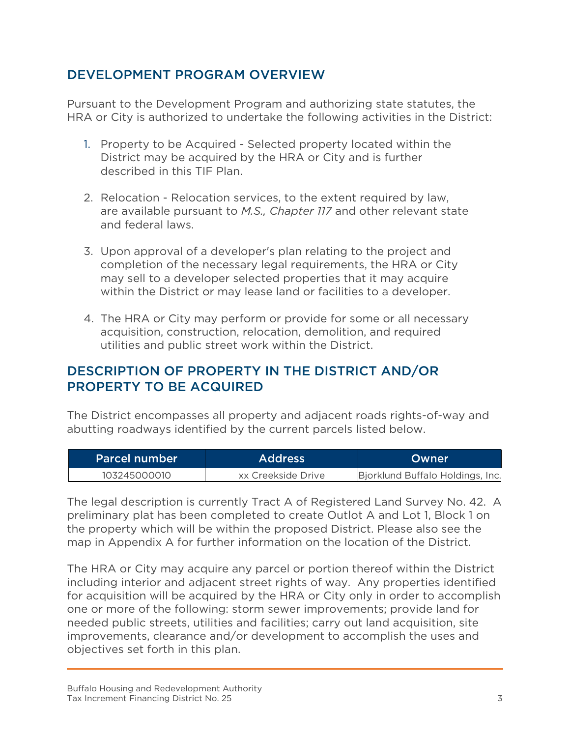#### DEVELOPMENT PROGRAM OVERVIEW

Pursuant to the Development Program and authorizing state statutes, the HRA or City is authorized to undertake the following activities in the District:

- 1. Property to be Acquired Selected property located within the District may be acquired by the HRA or City and is further described in this TIF Plan.
- 2. Relocation Relocation services, to the extent required by law, are available pursuant to *M.S., Chapter 117* and other relevant state and federal laws.
- 3. Upon approval of a developer's plan relating to the project and completion of the necessary legal requirements, the HRA or City may sell to a developer selected properties that it may acquire within the District or may lease land or facilities to a developer.
- 4. The HRA or City may perform or provide for some or all necessary acquisition, construction, relocation, demolition, and required utilities and public street work within the District.

#### DESCRIPTION OF PROPERTY IN THE DISTRICT AND/OR PROPERTY TO BE ACQUIRED

The District encompasses all property and adjacent roads rights-of-way and abutting roadways identified by the current parcels listed below.

| <b>Parcel number</b> | Address            | Owner                            |
|----------------------|--------------------|----------------------------------|
| 103245000010         | xx Creekside Drive | Bjorklund Buffalo Holdings, Inc. |

The legal description is currently Tract A of Registered Land Survey No. 42. A preliminary plat has been completed to create Outlot A and Lot 1, Block 1 on the property which will be within the proposed District. Please also see the map in Appendix A for further information on the location of the District.

The HRA or City may acquire any parcel or portion thereof within the District including interior and adjacent street rights of way. Any properties identified for acquisition will be acquired by the HRA or City only in order to accomplish one or more of the following: storm sewer improvements; provide land for needed public streets, utilities and facilities; carry out land acquisition, site improvements, clearance and/or development to accomplish the uses and objectives set forth in this plan.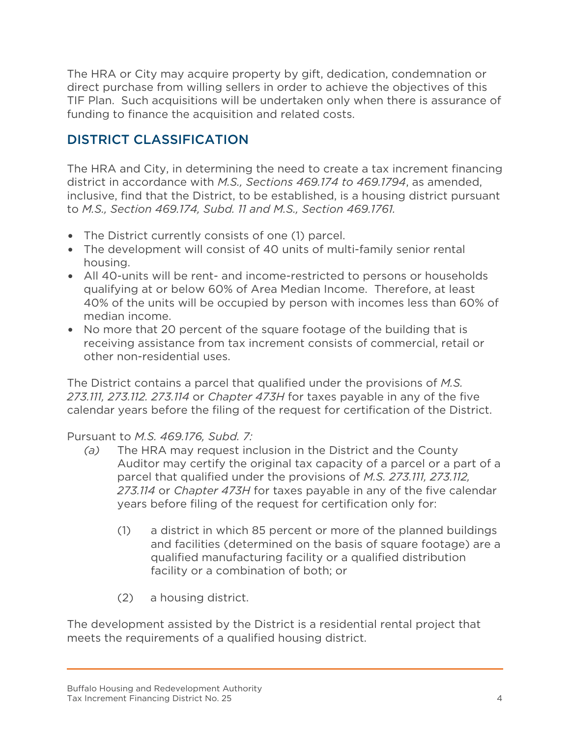The HRA or City may acquire property by gift, dedication, condemnation or direct purchase from willing sellers in order to achieve the objectives of this TIF Plan. Such acquisitions will be undertaken only when there is assurance of funding to finance the acquisition and related costs.

## DISTRICT CLASSIFICATION

The HRA and City, in determining the need to create a tax increment financing district in accordance with *M.S., Sections 469.174 to 469.1794*, as amended, inclusive, find that the District, to be established, is a housing district pursuant to *M.S., Section 469.174, Subd. 11 and M.S., Section 469.1761.*

- The District currently consists of one (1) parcel.
- The development will consist of 40 units of multi-family senior rental housing.
- All 40-units will be rent- and income-restricted to persons or households qualifying at or below 60% of Area Median Income. Therefore, at least 40% of the units will be occupied by person with incomes less than 60% of median income.
- No more that 20 percent of the square footage of the building that is receiving assistance from tax increment consists of commercial, retail or other non-residential uses.

The District contains a parcel that qualified under the provisions of *M.S. 273.111, 273.112. 273.114* or *Chapter 473H* for taxes payable in any of the five calendar years before the filing of the request for certification of the District.

#### Pursuant to *M.S. 469.176, Subd. 7:*

- *(a)* The HRA may request inclusion in the District and the County Auditor may certify the original tax capacity of a parcel or a part of a parcel that qualified under the provisions of *M.S. 273.111, 273.112, 273.114* or *Chapter 473H* for taxes payable in any of the five calendar years before filing of the request for certification only for:
	- (1) a district in which 85 percent or more of the planned buildings and facilities (determined on the basis of square footage) are a qualified manufacturing facility or a qualified distribution facility or a combination of both; or
	- (2) a housing district.

The development assisted by the District is a residential rental project that meets the requirements of a qualified housing district.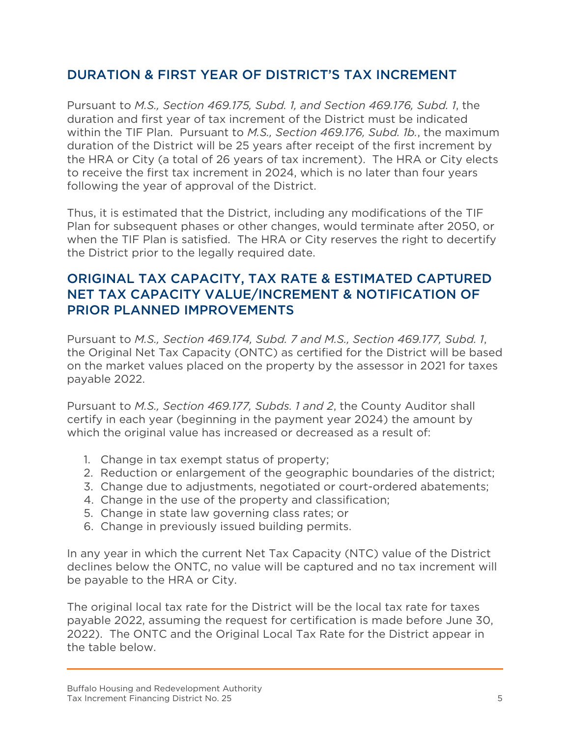#### DURATION & FIRST YEAR OF DISTRICT'S TAX INCREMENT

Pursuant to *M.S., Section 469.175, Subd. 1, and Section 469.176, Subd. 1*, the duration and first year of tax increment of the District must be indicated within the TIF Plan. Pursuant to *M.S., Section 469.176, Subd. 1b.*, the maximum duration of the District will be 25 years after receipt of the first increment by the HRA or City (a total of 26 years of tax increment). The HRA or City elects to receive the first tax increment in 2024, which is no later than four years following the year of approval of the District.

Thus, it is estimated that the District, including any modifications of the TIF Plan for subsequent phases or other changes, would terminate after 2050, or when the TIF Plan is satisfied. The HRA or City reserves the right to decertify the District prior to the legally required date.

#### ORIGINAL TAX CAPACITY, TAX RATE & ESTIMATED CAPTURED NET TAX CAPACITY VALUE/INCREMENT & NOTIFICATION OF PRIOR PLANNED IMPROVEMENTS

Pursuant to *M.S., Section 469.174, Subd. 7 and M.S., Section 469.177, Subd. 1*, the Original Net Tax Capacity (ONTC) as certified for the District will be based on the market values placed on the property by the assessor in 2021 for taxes payable 2022.

Pursuant to *M.S., Section 469.177, Subds. 1 and 2*, the County Auditor shall certify in each year (beginning in the payment year 2024) the amount by which the original value has increased or decreased as a result of:

- 1. Change in tax exempt status of property;
- 2. Reduction or enlargement of the geographic boundaries of the district;
- 3. Change due to adjustments, negotiated or court-ordered abatements;
- 4. Change in the use of the property and classification;
- 5. Change in state law governing class rates; or
- 6. Change in previously issued building permits.

In any year in which the current Net Tax Capacity (NTC) value of the District declines below the ONTC, no value will be captured and no tax increment will be payable to the HRA or City.

The original local tax rate for the District will be the local tax rate for taxes payable 2022, assuming the request for certification is made before June 30, 2022). The ONTC and the Original Local Tax Rate for the District appear in the table below.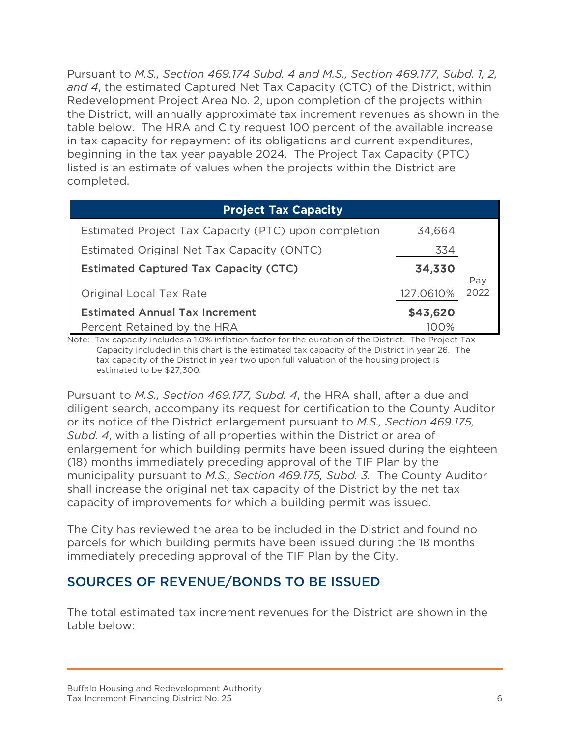Pursuant to *M.S., Section 469.174 Subd. 4 and M.S., Section 469.177, Subd. 1, 2, and 4*, the estimated Captured Net Tax Capacity (CTC) of the District, within Redevelopment Project Area No. 2, upon completion of the projects within the District, will annually approximate tax increment revenues as shown in the table below. The HRA and City request 100 percent of the available increase in tax capacity for repayment of its obligations and current expenditures, beginning in the tax year payable 2024. The Project Tax Capacity (PTC) listed is an estimate of values when the projects within the District are completed.

| <b>Project Tax Capacity</b>                          |           |             |
|------------------------------------------------------|-----------|-------------|
| Estimated Project Tax Capacity (PTC) upon completion | 34,664    |             |
| Estimated Original Net Tax Capacity (ONTC)           | 334       |             |
| <b>Estimated Captured Tax Capacity (CTC)</b>         | 34,330    |             |
| Original Local Tax Rate                              | 127.0610% | Pay<br>2022 |
| <b>Estimated Annual Tax Increment</b>                | \$43,620  |             |
| Percent Retained by the HRA                          | 100%      |             |

Note: Tax capacity includes a 1.0% inflation factor for the duration of the District. The Project Tax Capacity included in this chart is the estimated tax capacity of the District in year 26. The tax capacity of the District in year two upon full valuation of the housing project is estimated to be \$27,300.

Pursuant to *M.S., Section 469.177, Subd. 4*, the HRA shall, after a due and diligent search, accompany its request for certification to the County Auditor or its notice of the District enlargement pursuant to *M.S., Section 469.175, Subd. 4*, with a listing of all properties within the District or area of enlargement for which building permits have been issued during the eighteen (18) months immediately preceding approval of the TIF Plan by the municipality pursuant to *M.S., Section 469.175, Subd. 3.* The County Auditor shall increase the original net tax capacity of the District by the net tax capacity of improvements for which a building permit was issued.

The City has reviewed the area to be included in the District and found no parcels for which building permits have been issued during the 18 months immediately preceding approval of the TIF Plan by the City.

#### SOURCES OF REVENUE/BONDS TO BE ISSUED

The total estimated tax increment revenues for the District are shown in the table below: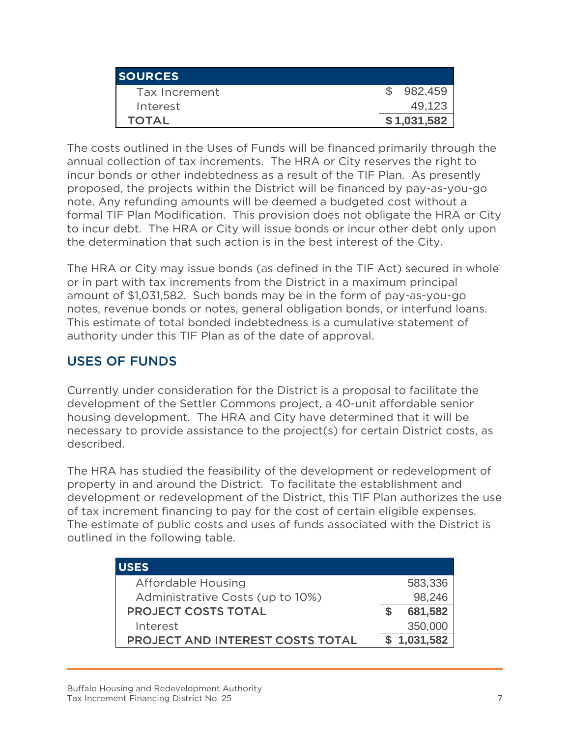| <b>ISOURCES</b> |             |
|-----------------|-------------|
| Tax Increment   | 982,459     |
| Interest        | 49,123      |
| <b>TOTAL</b>    | \$1,031,582 |

The costs outlined in the Uses of Funds will be financed primarily through the annual collection of tax increments. The HRA or City reserves the right to incur bonds or other indebtedness as a result of the TIF Plan. As presently proposed, the projects within the District will be financed by pay-as-you-go note. Any refunding amounts will be deemed a budgeted cost without a formal TIF Plan Modification. This provision does not obligate the HRA or City to incur debt. The HRA or City will issue bonds or incur other debt only upon the determination that such action is in the best interest of the City.

The HRA or City may issue bonds (as defined in the TIF Act) secured in whole or in part with tax increments from the District in a maximum principal amount of \$1,031,582. Such bonds may be in the form of pay-as-you-go notes, revenue bonds or notes, general obligation bonds, or interfund loans. This estimate of total bonded indebtedness is a cumulative statement of authority under this TIF Plan as of the date of approval.

#### USES OF FUNDS

Currently under consideration for the District is a proposal to facilitate the development of the Settler Commons project, a 40-unit affordable senior housing development. The HRA and City have determined that it will be necessary to provide assistance to the project(s) for certain District costs, as described.

The HRA has studied the feasibility of the development or redevelopment of property in and around the District. To facilitate the establishment and development or redevelopment of the District, this TIF Plan authorizes the use of tax increment financing to pay for the cost of certain eligible expenses. The estimate of public costs and uses of funds associated with the District is outlined in the following table.

| <b>USES</b>                      |             |
|----------------------------------|-------------|
| Affordable Housing               | 583,336     |
| Administrative Costs (up to 10%) | 98,246      |
| <b>PROJECT COSTS TOTAL</b>       | 681,582     |
| Interest                         | 350,000     |
| PROJECT AND INTEREST COSTS TOTAL | \$1,031,582 |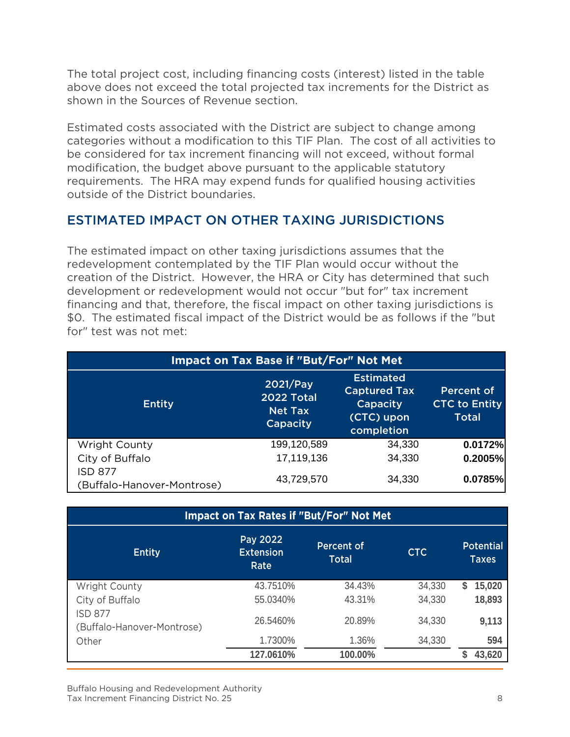The total project cost, including financing costs (interest) listed in the table above does not exceed the total projected tax increments for the District as shown in the Sources of Revenue section.

Estimated costs associated with the District are subject to change among categories without a modification to this TIF Plan. The cost of all activities to be considered for tax increment financing will not exceed, without formal modification, the budget above pursuant to the applicable statutory requirements. The HRA may expend funds for qualified housing activities outside of the District boundaries.

#### ESTIMATED IMPACT ON OTHER TAXING JURISDICTIONS

The estimated impact on other taxing jurisdictions assumes that the redevelopment contemplated by the TIF Plan would occur without the creation of the District. However, the HRA or City has determined that such development or redevelopment would not occur "but for" tax increment financing and that, therefore, the fiscal impact on other taxing jurisdictions is \$0. The estimated fiscal impact of the District would be as follows if the "but for" test was not met:

| Impact on Tax Base if "But/For" Not Met      |                                                             |                                                                                 |                                                    |  |  |  |  |  |  |  |
|----------------------------------------------|-------------------------------------------------------------|---------------------------------------------------------------------------------|----------------------------------------------------|--|--|--|--|--|--|--|
| <b>Entity</b>                                | 2021/Pay<br><b>2022 Total</b><br><b>Net Tax</b><br>Capacity | <b>Estimated</b><br><b>Captured Tax</b><br>Capacity<br>(CTC) upon<br>completion | Percent of<br><b>CTC to Entity</b><br><b>Total</b> |  |  |  |  |  |  |  |
| Wright County                                | 199,120,589                                                 | 34,330                                                                          | 0.0172%                                            |  |  |  |  |  |  |  |
| City of Buffalo                              | 17,119,136                                                  | 34,330                                                                          | 0.2005%                                            |  |  |  |  |  |  |  |
| <b>ISD 877</b><br>(Buffalo-Hanover-Montrose) | 43,729,570                                                  | 34,330                                                                          | 0.0785%                                            |  |  |  |  |  |  |  |

| <b>Impact on Tax Rates if "But/For" Not Met</b> |                                      |                            |            |                                  |  |  |  |  |  |  |  |
|-------------------------------------------------|--------------------------------------|----------------------------|------------|----------------------------------|--|--|--|--|--|--|--|
| <b>Entity</b>                                   | Pay 2022<br><b>Extension</b><br>Rate | Percent of<br><b>Total</b> | <b>CTC</b> | <b>Potential</b><br><b>Taxes</b> |  |  |  |  |  |  |  |
| <b>Wright County</b>                            | 43.7510%                             | 34.43%                     | 34,330     | 15,020<br>S                      |  |  |  |  |  |  |  |
| City of Buffalo                                 | 55.0340%                             | 43.31%                     | 34,330     | 18,893                           |  |  |  |  |  |  |  |
| <b>ISD 877</b><br>(Buffalo-Hanover-Montrose)    | 26.5460%                             | 20.89%                     | 34,330     | 9,113                            |  |  |  |  |  |  |  |
| Other                                           | 1.7300%                              | 1.36%                      | 34,330     | 594                              |  |  |  |  |  |  |  |
|                                                 | 127.0610%                            | 100.00%                    |            | 43,620                           |  |  |  |  |  |  |  |

Buffalo Housing and Redevelopment Authority Tax Increment Financing District No. 25 8 8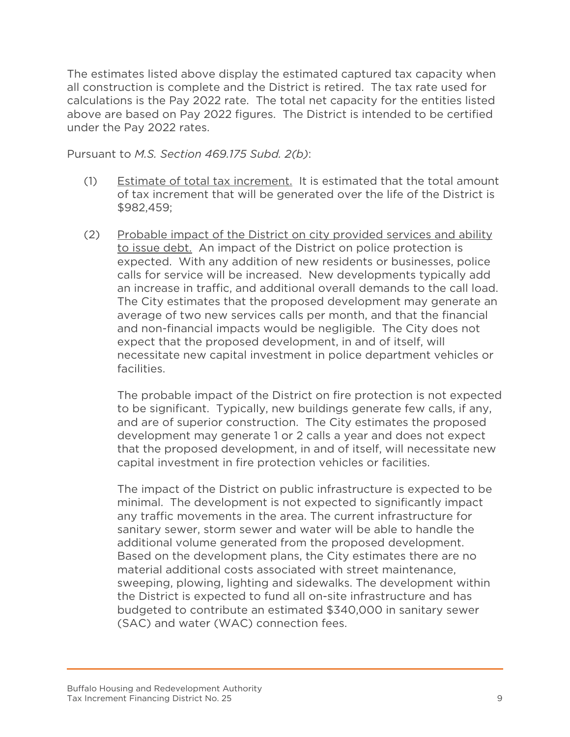The estimates listed above display the estimated captured tax capacity when all construction is complete and the District is retired. The tax rate used for calculations is the Pay 2022 rate. The total net capacity for the entities listed above are based on Pay 2022 figures. The District is intended to be certified under the Pay 2022 rates.

Pursuant to *M.S. Section 469.175 Subd. 2(b)*:

- (1) Estimate of total tax increment. It is estimated that the total amount of tax increment that will be generated over the life of the District is \$982,459;
- (2) Probable impact of the District on city provided services and ability to issue debt. An impact of the District on police protection is expected. With any addition of new residents or businesses, police calls for service will be increased. New developments typically add an increase in traffic, and additional overall demands to the call load. The City estimates that the proposed development may generate an average of two new services calls per month, and that the financial and non-financial impacts would be negligible. The City does not expect that the proposed development, in and of itself, will necessitate new capital investment in police department vehicles or facilities.

The probable impact of the District on fire protection is not expected to be significant. Typically, new buildings generate few calls, if any, and are of superior construction. The City estimates the proposed development may generate 1 or 2 calls a year and does not expect that the proposed development, in and of itself, will necessitate new capital investment in fire protection vehicles or facilities.

The impact of the District on public infrastructure is expected to be minimal. The development is not expected to significantly impact any traffic movements in the area. The current infrastructure for sanitary sewer, storm sewer and water will be able to handle the additional volume generated from the proposed development. Based on the development plans, the City estimates there are no material additional costs associated with street maintenance, sweeping, plowing, lighting and sidewalks. The development within the District is expected to fund all on-site infrastructure and has budgeted to contribute an estimated \$340,000 in sanitary sewer (SAC) and water (WAC) connection fees.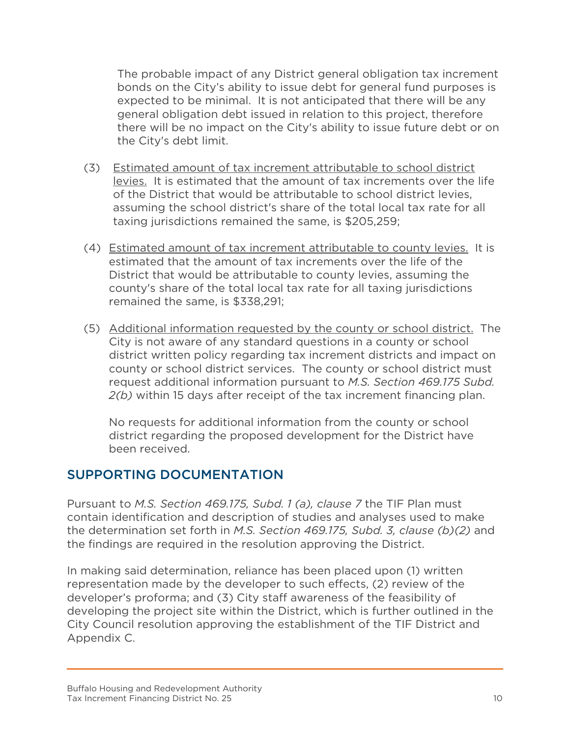The probable impact of any District general obligation tax increment bonds on the City's ability to issue debt for general fund purposes is expected to be minimal. It is not anticipated that there will be any general obligation debt issued in relation to this project, therefore there will be no impact on the City's ability to issue future debt or on the City's debt limit.

- (3) Estimated amount of tax increment attributable to school district levies. It is estimated that the amount of tax increments over the life of the District that would be attributable to school district levies, assuming the school district's share of the total local tax rate for all taxing jurisdictions remained the same, is \$205,259;
- (4) Estimated amount of tax increment attributable to county levies. It is estimated that the amount of tax increments over the life of the District that would be attributable to county levies, assuming the county's share of the total local tax rate for all taxing jurisdictions remained the same, is \$338,291;
- (5) Additional information requested by the county or school district. The City is not aware of any standard questions in a county or school district written policy regarding tax increment districts and impact on county or school district services. The county or school district must request additional information pursuant to *M.S. Section 469.175 Subd. 2(b)* within 15 days after receipt of the tax increment financing plan.

No requests for additional information from the county or school district regarding the proposed development for the District have been received.

#### SUPPORTING DOCUMENTATION

Pursuant to *M.S. Section 469.175, Subd. 1 (a), clause 7* the TIF Plan must contain identification and description of studies and analyses used to make the determination set forth in *M.S. Section 469.175, Subd. 3, clause (b)(2)* and the findings are required in the resolution approving the District.

In making said determination, reliance has been placed upon (1) written representation made by the developer to such effects, (2) review of the developer's proforma; and (3) City staff awareness of the feasibility of developing the project site within the District, which is further outlined in the City Council resolution approving the establishment of the TIF District and Appendix C.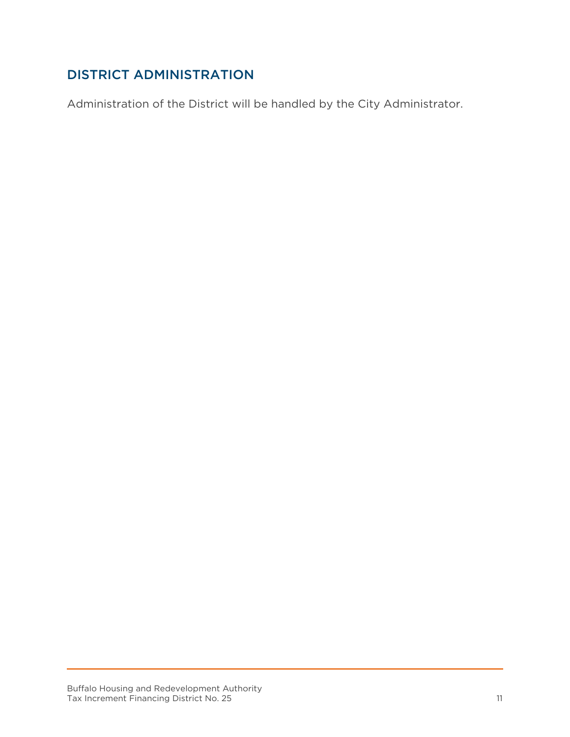## DISTRICT ADMINISTRATION

Administration of the District will be handled by the City Administrator.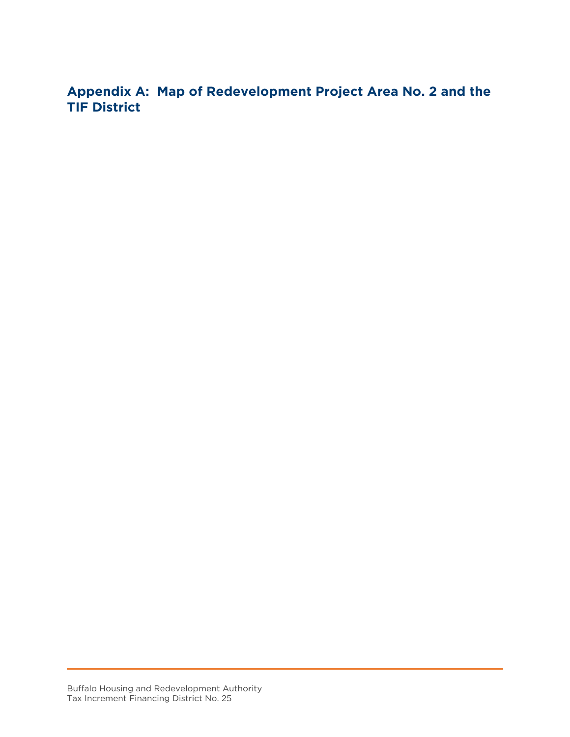**Appendix A: Map of Redevelopment Project Area No. 2 and the TIF District**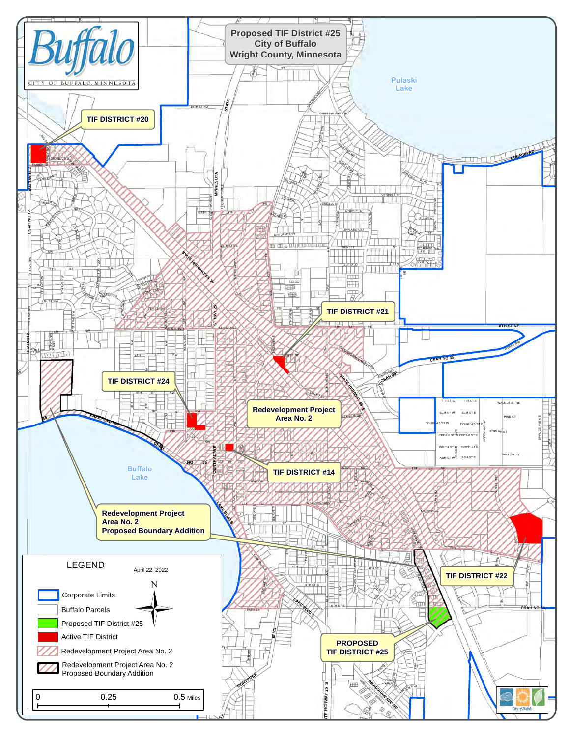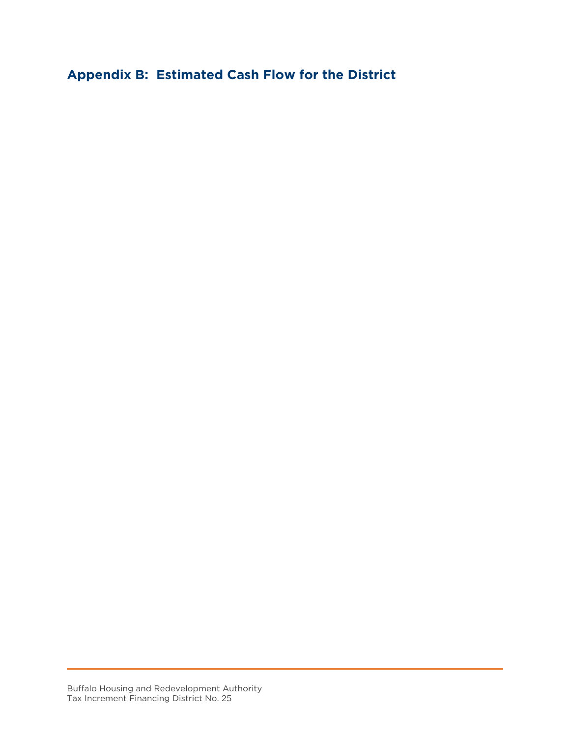**Appendix B: Estimated Cash Flow for the District**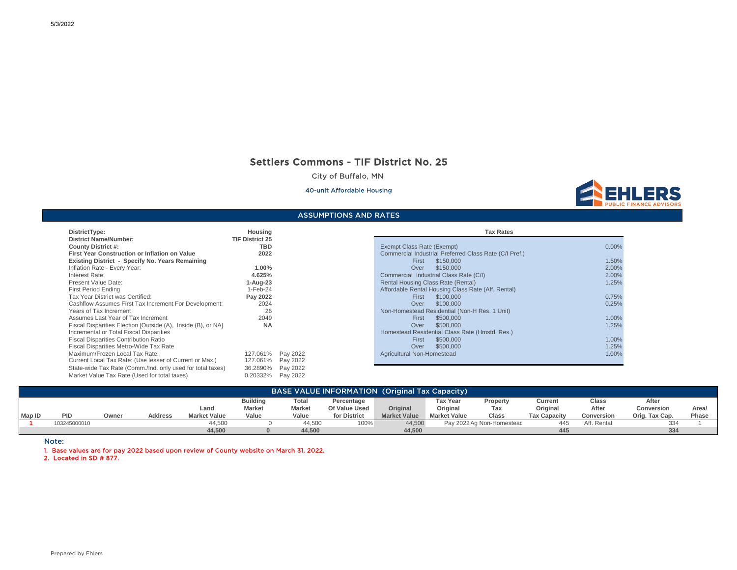#### Settlers Commons - TIF District No. 25

City of Buffalo, MN

#### 40-unit Affordable Housing



#### ASSUMPTIONS AND RATES

| DistrictType:                                                | Housing                |          | <b>Tax Rates</b>                                   |
|--------------------------------------------------------------|------------------------|----------|----------------------------------------------------|
| <b>District Name/Number:</b>                                 | <b>TIF District 25</b> |          |                                                    |
| <b>County District #:</b>                                    | TBD                    |          | Exempt Class Rate (Exempt)                         |
| First Year Construction or Inflation on Value                | 2022                   |          | Commercial Industrial Preferred Class Rate (C/I P) |
| Existing District - Specify No. Years Remaining              |                        |          | \$150,000<br>First                                 |
| Inflation Rate - Every Year:                                 | 1.00%                  |          | \$150,000<br>Over                                  |
| Interest Rate:                                               | 4.625%                 |          | Commercial Industrial Class Rate (C/I)             |
| Present Value Date:                                          | $1-Auq-23$             |          | Rental Housing Class Rate (Rental)                 |
| <b>First Period Ending</b>                                   | 1-Feb-24               |          | Affordable Rental Housing Class Rate (Aff. Rental) |
| Tax Year District was Certified:                             | Pay 2022               |          | \$100,000<br>First                                 |
| Cashflow Assumes First Tax Increment For Development:        | 2024                   |          | \$100,000<br>Over                                  |
| Years of Tax Increment                                       | 26                     |          | Non-Homestead Residential (Non-H Res. 1 Unit)      |
| Assumes Last Year of Tax Increment                           | 2049                   |          | \$500,000<br>First                                 |
| Fiscal Disparities Election [Outside (A), Inside (B), or NA] | <b>NA</b>              |          | \$500,000<br>Over                                  |
| Incremental or Total Fiscal Disparities                      |                        |          | Homestead Residential Class Rate (Hmstd. Res.)     |
| <b>Fiscal Disparities Contribution Ratio</b>                 |                        |          | \$500,000<br>First                                 |
| Fiscal Disparities Metro-Wide Tax Rate                       |                        |          | \$500,000<br>Over                                  |
| Maximum/Frozen Local Tax Rate:                               | 127.061%               | Pay 2022 | Agricultural Non-Homestead                         |
| Current Local Tax Rate: (Use lesser of Current or Max.)      | 127.061%               | Pay 2022 |                                                    |
| State-wide Tax Rate (Comm./Ind. only used for total taxes)   | 36.2890%               | Pay 2022 |                                                    |
| Market Value Tax Rate (Used for total taxes)                 | 0.20332%               | Pay 2022 |                                                    |

| PIJU IVI I Y PU.                                             | ,,,,,,,,,,,,           |                                    | בטומא ו מא                                             |          |
|--------------------------------------------------------------|------------------------|------------------------------------|--------------------------------------------------------|----------|
| District Name/Number:                                        | <b>TIF District 25</b> |                                    |                                                        |          |
| County District #:                                           | TBD                    | Exempt Class Rate (Exempt)         |                                                        | $0.00\%$ |
| First Year Construction or Inflation on Value                | 2022                   |                                    | Commercial Industrial Preferred Class Rate (C/I Pref.) |          |
| Existing District - Specify No. Years Remaining              |                        | First                              | \$150,000                                              | 1.50%    |
| Inflation Rate - Every Year:                                 | 1.00%                  | Over                               | \$150,000                                              | 2.00%    |
| Interest Rate:                                               | 4.625%                 |                                    | Commercial Industrial Class Rate (C/I)                 | 2.00%    |
| Present Value Date:                                          | 1-Aug-23               | Rental Housing Class Rate (Rental) |                                                        | 1.25%    |
| First Period Endina                                          | $1-Feb-24$             |                                    | Affordable Rental Housing Class Rate (Aff. Rental)     |          |
| Tax Year District was Certified:                             | Pay 2022               | First                              | \$100,000                                              | 0.75%    |
| Cashflow Assumes First Tax Increment For Development:        | 2024                   | Over                               | \$100,000                                              | 0.25%    |
| Years of Tax Increment                                       | 26                     |                                    | Non-Homestead Residential (Non-H Res. 1 Unit)          |          |
| Assumes Last Year of Tax Increment                           | 2049                   | First                              | \$500,000                                              | 1.00%    |
| Fiscal Disparities Election [Outside (A), Inside (B), or NA] | <b>NA</b>              | Over                               | \$500,000                                              | 1.25%    |
| Incremental or Total Fiscal Disparities                      |                        |                                    | Homestead Residential Class Rate (Hmstd. Res.)         |          |
| <b>Fiscal Disparities Contribution Ratio</b>                 |                        | First                              | \$500,000                                              | 1.00%    |
| Fiscal Disparities Metro-Wide Tax Rate                       |                        | Over                               | \$500,000                                              | 1.25%    |
| Maximum/Frozen Local Tax Rate:                               | 127.061% Pay 2022      | Agricultural Non-Homestead         |                                                        | 1.00%    |
| Current Local Tay Rate: (Hee lesser of Current or May)       | $127.061\%$ Pay 2022   |                                    |                                                        |          |

|               | <b>BASE VALUE INFORMATION (Original Tax Capacity)</b>                                                                                                                                                                                                                                                                                                                                                                                                   |  |  |        |  |        |      |        |  |                           |     |             |     |  |
|---------------|---------------------------------------------------------------------------------------------------------------------------------------------------------------------------------------------------------------------------------------------------------------------------------------------------------------------------------------------------------------------------------------------------------------------------------------------------------|--|--|--------|--|--------|------|--------|--|---------------------------|-----|-------------|-----|--|
| <b>Map ID</b> | <b>Building</b><br><b>Tax Year</b><br>Total<br>After<br>Percentage<br>Property<br>Current<br>Class<br>Original<br>Original<br>Original<br>After<br>Conversion<br><b>Market</b><br><b>Market</b><br>Of Value Used<br>Land<br>Tax<br>Area<br><b>Market Value</b><br>Value<br>for District<br><b>Market Value</b><br>PID<br>Value<br><b>Market Value</b><br>Orig. Tax Cap.<br><b>Tax Capacity</b><br><b>Address</b><br><b>Class</b><br>Conversion<br>Owner |  |  |        |  |        |      |        |  |                           |     | Phase       |     |  |
|               | 103245000010                                                                                                                                                                                                                                                                                                                                                                                                                                            |  |  | 44.500 |  | 44,500 | 100% | 44,500 |  | Pay 2022 Ag Non-Homesteac | 445 | Aff. Rental | 334 |  |
|               |                                                                                                                                                                                                                                                                                                                                                                                                                                                         |  |  | 44,500 |  | 44,500 |      | 44,500 |  |                           | 445 |             | 334 |  |

Note:

1. Base values are for pay 2022 based upon review of County website on March 31, 2022.

2. Located in SD # 877.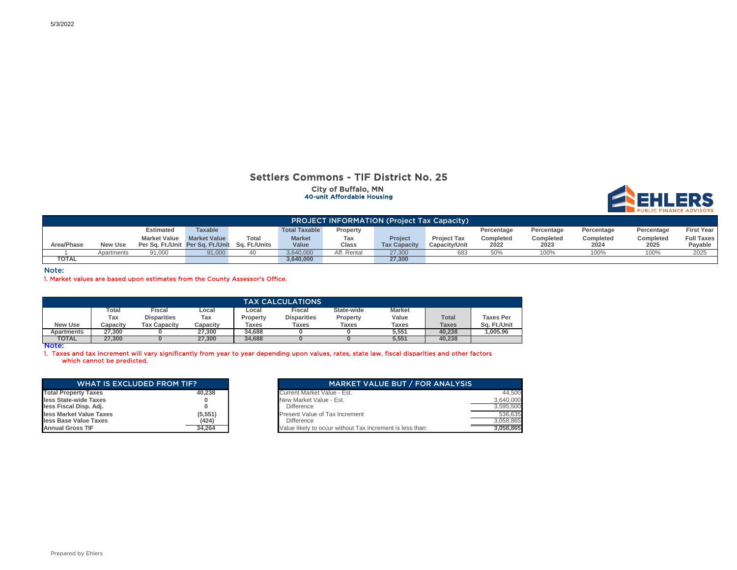#### Settlers Commons - TIF District No. 25 City of Buffalo, MN 40-unit Affordable Housing



|              | <b>PROJECT INFORMATION (Project Tax Capacity)</b> |                                                 |                     |       |                      |              |                     |                      |            |            |            |            |                   |
|--------------|---------------------------------------------------|-------------------------------------------------|---------------------|-------|----------------------|--------------|---------------------|----------------------|------------|------------|------------|------------|-------------------|
|              |                                                   | <b>Estimated</b>                                | <b>Taxable</b>      |       | <b>Total Taxable</b> | Property     |                     |                      | Percentage | Percentage | Percentage | Percentage | <b>First Year</b> |
|              |                                                   | <b>Market Value</b>                             | <b>Market Value</b> | Total | <b>Market</b>        | Tax          | <b>Project</b>      | <b>Project Tax</b>   | Completed  | Completed  | Completed  | Completed  | <b>Full Taxes</b> |
| Area/Phase   | New Use                                           | Per Sa. Ft./Unit Per Sa. Ft./Unit Sa. Ft./Units |                     |       | Value                | <b>Class</b> | <b>Tax Capacity</b> | <b>Capacity/Unit</b> | 2022       | 2023       | 2024       | 2025       | Pavable           |
|              | Apartments                                        | 91,000                                          | 91.000              |       | 3.640.000            | Aff. Rental  | 27.300              | 683                  | 50%        | 100%       | 100%       | 100%       | 2025              |
| <b>TOTAL</b> |                                                   |                                                 |                     |       | 3,640,000            |              | 27,300              |                      |            |            |            |            |                   |

Note:

1. Market values are based upon estimates from the County Assessor's Office.

| <b>TAX CALCULATIONS</b> |                                                                            |                     |          |          |                    |          |       |              |                  |  |  |  |
|-------------------------|----------------------------------------------------------------------------|---------------------|----------|----------|--------------------|----------|-------|--------------|------------------|--|--|--|
|                         | Fiscal<br>State-wide<br>Fiscal<br>Гоtal<br><b>Market</b><br>∟ocal<br>Local |                     |          |          |                    |          |       |              |                  |  |  |  |
|                         | Tax                                                                        | <b>Disparities</b>  | Tax      | Property | <b>Disparities</b> | Property | Value | <b>Total</b> | <b>Taxes Per</b> |  |  |  |
| <b>New Use</b>          | Capacity                                                                   | <b>Tax Capacity</b> | Capacity | Taxes    | <b>Taxes</b>       | Taxes    | Taxes | <b>Taxes</b> | Sa. Ft./Unit     |  |  |  |
| Apartments              | 27.300                                                                     |                     | 27.300   | 34.688   |                    |          | 5.551 | 40.238       | .005.96          |  |  |  |
| <b>TOTAL</b>            | 27,300                                                                     |                     | 27.300   | 34,688   |                    |          | 5,551 | 40.238       |                  |  |  |  |

Note:

1. Taxes and tax increment will vary significantly from year to year depending upon values, rates, state law, fiscal disparities and other factors which cannot be predicted.

| <b>WHAT IS EXCLUDED FROM TIF?</b> |          |  |  |  |  |  |  |  |  |  |
|-----------------------------------|----------|--|--|--|--|--|--|--|--|--|
| <b>Total Property Taxes</b>       | 40.238   |  |  |  |  |  |  |  |  |  |
| less State-wide Taxes             | 0        |  |  |  |  |  |  |  |  |  |
| less Fiscal Disp. Adj.            | o        |  |  |  |  |  |  |  |  |  |
| less Market Value Taxes           | (5, 551) |  |  |  |  |  |  |  |  |  |
| less Base Value Taxes             | (424)    |  |  |  |  |  |  |  |  |  |
| <b>Annual Gross TIF</b>           | 34.264   |  |  |  |  |  |  |  |  |  |

| <b>WHAT IS EXCLUDED FROM TIF?</b> |         | <b>MARKET VALUE BUT / FOR ANALYSIS</b>                    |
|-----------------------------------|---------|-----------------------------------------------------------|
| <b>Total Property Taxes</b>       | 40.238  | Current Market Value - Est.                               |
| less State-wide Taxes             |         | New Market Value - Est.                                   |
| less Fiscal Disp. Adj.            |         | <b>Difference</b>                                         |
| less Market Value Taxes           | (5.551) | Present Value of Tax Increment                            |
| less Base Value Taxes             | (424)   | <b>Difference</b>                                         |
| <b>Annual Gross TIF</b>           | 34,264  | Value likely to occur without Tax Increment is less than: |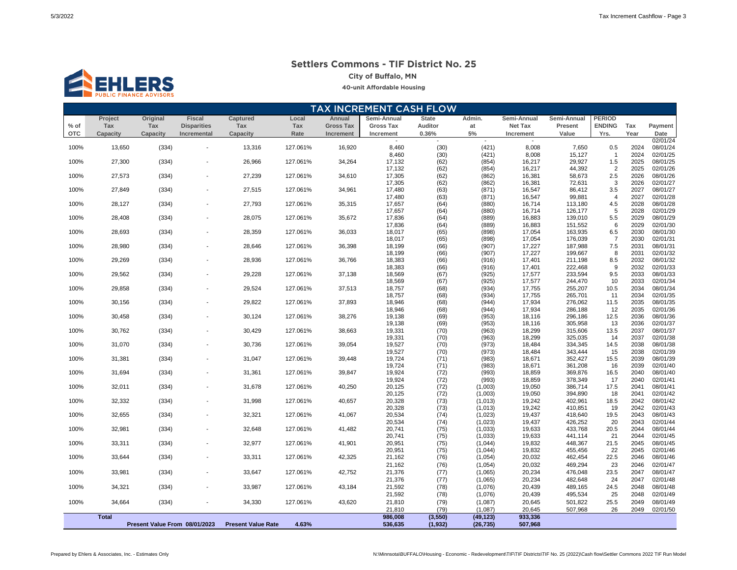# **ENDERS**

#### **Settlers Commons - TIF District No. 25**

**City of Buffalo, MN** 

#### **40-unit Affordable Housing**

|            | <b>TAX INCREMENT CASH FLOW</b> |                               |                    |                           |          |                  |                  |              |                    |                          |                    |                       |              |                      |
|------------|--------------------------------|-------------------------------|--------------------|---------------------------|----------|------------------|------------------|--------------|--------------------|--------------------------|--------------------|-----------------------|--------------|----------------------|
|            | Project                        | Original                      | <b>Fiscal</b>      | Captured                  | Local    | Annual           | Semi-Annual      | <b>State</b> | Admin.             | Semi-Annual              | Semi-Annual        | <b>PERIOD</b>         |              |                      |
| $%$ of     | Tax                            | Tax                           | <b>Disparities</b> | Tax                       | Tax      | <b>Gross Tax</b> | <b>Gross Tax</b> | Auditor      | at                 | Net Tax                  | Present            | <b>ENDING</b>         | Tax          | Payment              |
| <b>OTC</b> | Capacity                       | Capacity                      | Incremental        | Capacity                  | Rate     | Increment        | Increment        | 0.36%        | $5\%$              | Increment                | Value              | Yrs.                  | Year         | Date                 |
|            |                                |                               |                    |                           |          |                  |                  |              |                    | $\overline{\phantom{a}}$ |                    |                       |              | 02/01/24             |
| 100%       | 13,650                         | (334)                         |                    | 13,316                    | 127.061% | 16,920           | 8,460<br>8,460   | (30)<br>(30) | (421)<br>(421)     | 8,008<br>8,008           | 7,650<br>15,127    | 0.5<br>$\overline{1}$ | 2024<br>2024 | 08/01/24<br>02/01/25 |
| 100%       | 27,300                         | (334)                         |                    | 26,966                    | 127.061% | 34,264           | 17,132           | (62)         | (854)              | 16,217                   | 29,927             | 1.5                   | 2025         | 08/01/25             |
|            |                                |                               |                    |                           |          |                  | 17,132           | (62)         | (854)              | 16,217                   | 44,392             | $\overline{c}$        | 2025         | 02/01/26             |
| 100%       | 27,573                         | (334)                         |                    | 27,239                    | 127.061% | 34,610           | 17,305           | (62)         | (862)              | 16,381                   | 58,673             | 2.5                   | 2026         | 08/01/26             |
|            |                                |                               |                    |                           |          |                  | 17,305           | (62)         | (862)              | 16,381                   | 72,631             | 3                     | 2026         | 02/01/27             |
| 100%       | 27,849                         | (334)                         |                    | 27,515                    | 127.061% | 34,961           | 17,480           | (63)         | (871)              | 16,547                   | 86,412             | 3.5                   | 2027         | 08/01/27             |
|            |                                |                               |                    |                           |          |                  | 17,480           | (63)         | (871)              | 16,547                   | 99,881             | $\overline{4}$        | 2027         | 02/01/28             |
| 100%       | 28,127                         | (334)                         |                    | 27,793                    | 127.061% | 35,315           | 17,657           | (64)         | (880)              | 16,714                   | 113,180            | 4.5                   | 2028         | 08/01/28             |
| 100%       | 28,408                         | (334)                         |                    | 28,075                    | 127.061% | 35,672           | 17,657<br>17,836 | (64)<br>(64) | (880)<br>(889)     | 16,714<br>16,883         | 126,177<br>139,010 | 5<br>5.5              | 2028<br>2029 | 02/01/29<br>08/01/29 |
|            |                                |                               |                    |                           |          |                  | 17,836           | (64)         | (889)              | 16,883                   | 151,552            | 6                     | 2029         | 02/01/30             |
| 100%       | 28,693                         | (334)                         |                    | 28,359                    | 127.061% | 36,033           | 18,017           | (65)         | (898)              | 17,054                   | 163,935            | 6.5                   | 2030         | 08/01/30             |
|            |                                |                               |                    |                           |          |                  | 18,017           | (65)         | (898)              | 17,054                   | 176,039            | $\overline{7}$        | 2030         | 02/01/31             |
| 100%       | 28,980                         | (334)                         |                    | 28,646                    | 127.061% | 36,398           | 18,199           | (66)         | (907)              | 17,227                   | 187,988            | 7.5                   | 2031         | 08/01/31             |
|            |                                |                               |                    |                           |          |                  | 18,199           | (66)         | (907)              | 17,227                   | 199,667            | 8                     | 2031         | 02/01/32             |
| 100%       | 29,269                         | (334)                         |                    | 28,936                    | 127.061% | 36,766           | 18,383           | (66)         | (916)              | 17,401                   | 211,198            | 8.5                   | 2032         | 08/01/32             |
|            |                                |                               |                    |                           |          |                  | 18,383           | (66)         | (916)              | 17,401                   | 222,468            | 9                     | 2032         | 02/01/33             |
| 100%       | 29,562                         | (334)                         |                    | 29,228                    | 127.061% | 37,138           | 18,569           | (67)         | (925)              | 17,577                   | 233,594            | 9.5                   | 2033         | 08/01/33             |
| 100%       | 29,858                         | (334)                         |                    | 29,524                    | 127.061% | 37,513           | 18,569<br>18,757 | (67)<br>(68) | (925)<br>(934)     | 17,577<br>17,755         | 244,470<br>255,207 | 10<br>10.5            | 2033<br>2034 | 02/01/34<br>08/01/34 |
|            |                                |                               |                    |                           |          |                  | 18,757           | (68)         | (934)              | 17,755                   | 265,701            | 11                    | 2034         | 02/01/35             |
| 100%       | 30,156                         | (334)                         |                    | 29,822                    | 127.061% | 37,893           | 18,946           | (68)         | (944)              | 17,934                   | 276,062            | 11.5                  | 2035         | 08/01/35             |
|            |                                |                               |                    |                           |          |                  | 18,946           | (68)         | (944)              | 17,934                   | 286,188            | 12                    | 2035         | 02/01/36             |
| 100%       | 30,458                         | (334)                         |                    | 30,124                    | 127.061% | 38,276           | 19,138           | (69)         | (953)              | 18,116                   | 296,186            | 12.5                  | 2036         | 08/01/36             |
|            |                                |                               |                    |                           |          |                  | 19,138           | (69)         | (953)              | 18,116                   | 305,958            | 13                    | 2036         | 02/01/37             |
| 100%       | 30,762                         | (334)                         |                    | 30,429                    | 127.061% | 38,663           | 19,331           | (70)         | (963)              | 18,299                   | 315,606            | 13.5                  | 2037         | 08/01/37             |
|            |                                |                               |                    |                           |          |                  | 19,331           | (70)         | (963)              | 18,299                   | 325,035            | 14                    | 2037         | 02/01/38             |
| 100%       | 31,070                         | (334)                         |                    | 30,736                    | 127.061% | 39,054           | 19,527           | (70)         | (973)              | 18,484                   | 334,345            | 14.5                  | 2038         | 08/01/38             |
| 100%       | 31,381                         | (334)                         |                    | 31,047                    | 127.061% | 39,448           | 19,527<br>19,724 | (70)<br>(71) | (973)<br>(983)     | 18,484<br>18,671         | 343,444<br>352,427 | 15<br>15.5            | 2038<br>2039 | 02/01/39<br>08/01/39 |
|            |                                |                               |                    |                           |          |                  | 19,724           | (71)         | (983)              | 18,671                   | 361,208            | 16                    | 2039         | 02/01/40             |
| 100%       | 31,694                         | (334)                         |                    | 31,361                    | 127.061% | 39,847           | 19,924           | (72)         | (993)              | 18,859                   | 369,876            | 16.5                  | 2040         | 08/01/40             |
|            |                                |                               |                    |                           |          |                  | 19,924           | (72)         | (993)              | 18,859                   | 378,349            | 17                    | 2040         | 02/01/41             |
| 100%       | 32,011                         | (334)                         |                    | 31,678                    | 127.061% | 40,250           | 20,125           | (72)         | (1,003)            | 19,050                   | 386,714            | 17.5                  | 2041         | 08/01/41             |
|            |                                |                               |                    |                           |          |                  | 20,125           | (72)         | (1,003)            | 19,050                   | 394,890            | 18                    | 2041         | 02/01/42             |
| 100%       | 32,332                         | (334)                         |                    | 31,998                    | 127.061% | 40,657           | 20,328           | (73)         | (1, 013)           | 19,242                   | 402,961            | 18.5                  | 2042         | 08/01/42             |
|            |                                |                               |                    |                           |          |                  | 20,328           | (73)         | (1, 013)           | 19,242                   | 410,851            | 19                    | 2042         | 02/01/43             |
| 100%       | 32,655                         | (334)                         |                    | 32,321                    | 127.061% | 41,067           | 20,534<br>20,534 | (74)         | (1,023)<br>(1,023) | 19,437<br>19,437         | 418,640            | 19.5<br>20            | 2043<br>2043 | 08/01/43<br>02/01/44 |
| 100%       | 32,981                         | (334)                         |                    | 32,648                    | 127.061% | 41,482           | 20,741           | (74)<br>(75) | (1,033)            | 19,633                   | 426,252<br>433,768 | 20.5                  | 2044         | 08/01/44             |
|            |                                |                               |                    |                           |          |                  | 20,741           | (75)         | (1,033)            | 19,633                   | 441,114            | 21                    | 2044         | 02/01/45             |
| 100%       | 33,311                         | (334)                         |                    | 32,977                    | 127.061% | 41,901           | 20,951           | (75)         | (1,044)            | 19,832                   | 448,367            | 21.5                  | 2045         | 08/01/45             |
|            |                                |                               |                    |                           |          |                  | 20,951           | (75)         | (1,044)            | 19,832                   | 455,456            | 22                    | 2045         | 02/01/46             |
| 100%       | 33,644                         | (334)                         |                    | 33,311                    | 127.061% | 42,325           | 21,162           | (76)         | (1,054)            | 20,032                   | 462,454            | 22.5                  | 2046         | 08/01/46             |
|            |                                |                               |                    |                           |          |                  | 21,162           | (76)         | (1,054)            | 20,032                   | 469,294            | 23                    | 2046         | 02/01/47             |
| 100%       | 33,981                         | (334)                         |                    | 33,647                    | 127.061% | 42,752           | 21,376           | (77)         | (1,065)            | 20,234                   | 476,048            | 23.5                  | 2047         | 08/01/47             |
|            |                                |                               |                    |                           |          |                  | 21,376           | (77)         | (1,065)            | 20,234                   | 482,648            | 24                    | 2047         | 02/01/48             |
| 100%       | 34,321                         | (334)                         |                    | 33,987                    | 127.061% | 43,184           | 21,592           | (78)         | (1,076)            | 20,439                   | 489,165            | 24.5                  | 2048         | 08/01/48             |
|            |                                |                               |                    |                           |          |                  | 21,592           | (78)         | (1,076)            | 20,439                   | 495,534            | 25                    | 2048         | 02/01/49             |
| 100%       | 34,664                         | (334)                         |                    | 34,330                    | 127.061% | 43,620           | 21,810           | (79)         | (1,087)            | 20,645                   | 501,822            | 25.5                  | 2049         | 08/01/49             |
|            |                                |                               |                    |                           |          |                  | 21,810           | (79)         | (1,087)            | 20,645                   | 507,968            | 26                    | 2049         | 02/01/50             |
|            | <b>Total</b>                   |                               |                    |                           |          |                  | 986,008          | (3, 550)     | (49, 123)          | 933,336                  |                    |                       |              |                      |
|            |                                | Present Value From 08/01/2023 |                    | <b>Present Value Rate</b> | 4.63%    |                  | 536,635          | (1, 932)     | (26, 735)          | 507,968                  |                    |                       |              |                      |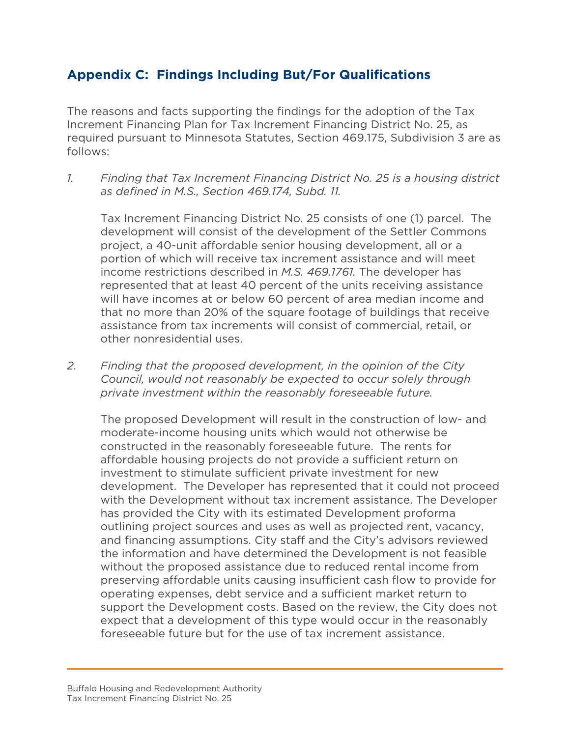#### **Appendix C: Findings Including But/For Qualifications**

The reasons and facts supporting the findings for the adoption of the Tax Increment Financing Plan for Tax Increment Financing District No. 25, as required pursuant to Minnesota Statutes, Section 469.175, Subdivision 3 are as follows:

*1. Finding that Tax Increment Financing District No. 25 is a housing district as defined in M.S., Section 469.174, Subd. 11.*

Tax Increment Financing District No. 25 consists of one (1) parcel. The development will consist of the development of the Settler Commons project, a 40-unit affordable senior housing development, all or a portion of which will receive tax increment assistance and will meet income restrictions described in *M.S. 469.1761.* The developer has represented that at least 40 percent of the units receiving assistance will have incomes at or below 60 percent of area median income and that no more than 20% of the square footage of buildings that receive assistance from tax increments will consist of commercial, retail, or other nonresidential uses.

*2. Finding that the proposed development, in the opinion of the City Council, would not reasonably be expected to occur solely through private investment within the reasonably foreseeable future.*

The proposed Development will result in the construction of low- and moderate-income housing units which would not otherwise be constructed in the reasonably foreseeable future. The rents for affordable housing projects do not provide a sufficient return on investment to stimulate sufficient private investment for new development. The Developer has represented that it could not proceed with the Development without tax increment assistance. The Developer has provided the City with its estimated Development proforma outlining project sources and uses as well as projected rent, vacancy, and financing assumptions. City staff and the City's advisors reviewed the information and have determined the Development is not feasible without the proposed assistance due to reduced rental income from preserving affordable units causing insufficient cash flow to provide for operating expenses, debt service and a sufficient market return to support the Development costs. Based on the review, the City does not expect that a development of this type would occur in the reasonably foreseeable future but for the use of tax increment assistance.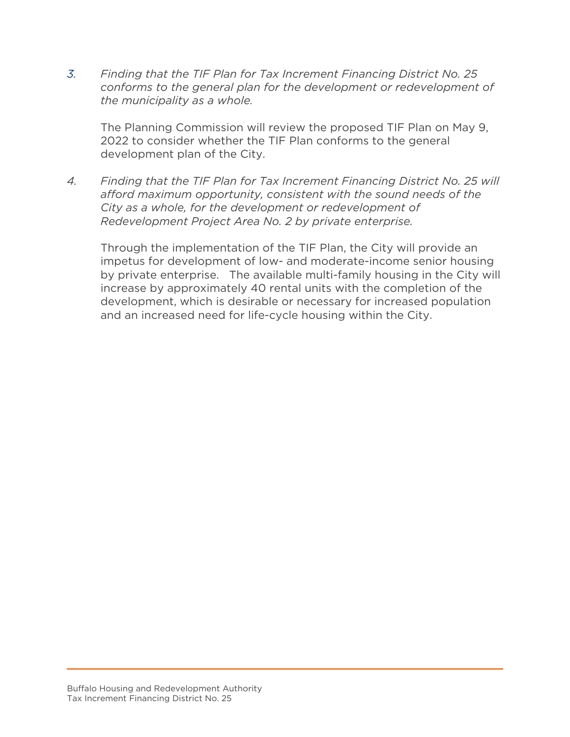*3. Finding that the TIF Plan for Tax Increment Financing District No. 25 conforms to the general plan for the development or redevelopment of the municipality as a whole.*

The Planning Commission will review the proposed TIF Plan on May 9, 2022 to consider whether the TIF Plan conforms to the general development plan of the City.

*4. Finding that the TIF Plan for Tax Increment Financing District No. 25 will afford maximum opportunity, consistent with the sound needs of the City as a whole, for the development or redevelopment of Redevelopment Project Area No. 2 by private enterprise.* 

 Through the implementation of the TIF Plan, the City will provide an impetus for development of low- and moderate-income senior housing by private enterprise. The available multi-family housing in the City will increase by approximately 40 rental units with the completion of the development, which is desirable or necessary for increased population and an increased need for life-cycle housing within the City.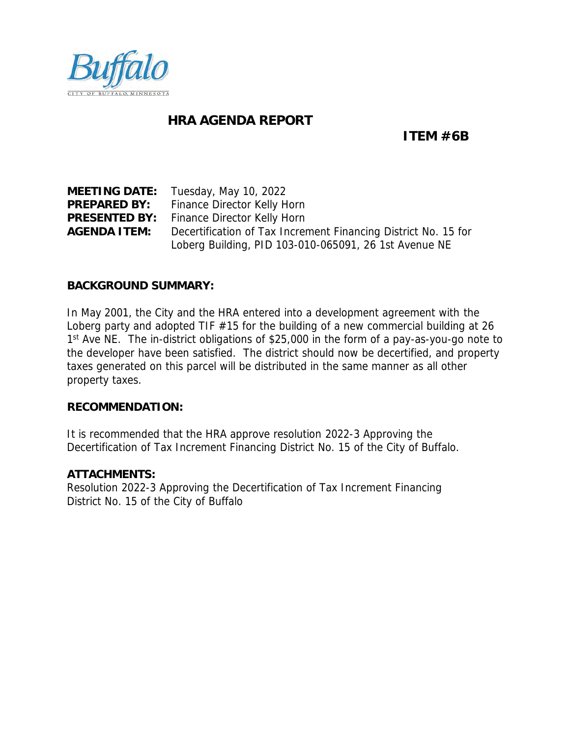<span id="page-32-0"></span>

#### **HRA AGENDA REPORT**

**ITEM #6B**

**MEETING DATE:** Tuesday, May 10, 2022 **PREPARED BY:** Finance Director Kelly Horn **PRESENTED BY:** Finance Director Kelly Horn **AGENDA ITEM:** Decertification of Tax Increment Financing District No. 15 for Loberg Building, PID 103-010-065091, 26 1st Avenue NE

#### **BACKGROUND SUMMARY:**

In May 2001, the City and the HRA entered into a development agreement with the Loberg party and adopted TIF #15 for the building of a new commercial building at 26 1<sup>st</sup> Ave NE. The in-district obligations of \$25,000 in the form of a pay-as-you-go note to the developer have been satisfied. The district should now be decertified, and property taxes generated on this parcel will be distributed in the same manner as all other property taxes.

**RECOMMENDATION:**

It is recommended that the HRA approve resolution 2022-3 Approving the Decertification of Tax Increment Financing District No. 15 of the City of Buffalo.

#### **ATTACHMENTS:**

Resolution 2022-3 Approving the Decertification of Tax Increment Financing District No. 15 of the City of Buffalo